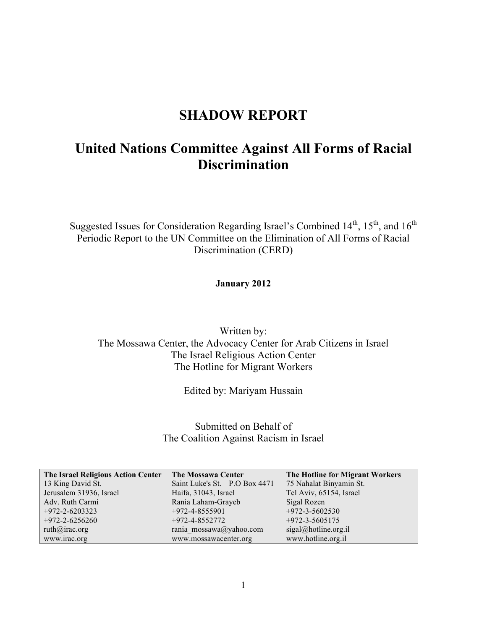## **SHADOW REPORT**

# **United Nations Committee Against All Forms of Racial Discrimination**

Suggested Issues for Consideration Regarding Israel's Combined  $14<sup>th</sup>$ ,  $15<sup>th</sup>$ , and  $16<sup>th</sup>$ Periodic Report to the UN Committee on the Elimination of All Forms of Racial Discrimination (CERD)

## **January 2012**

Written by: The Mossawa Center, the Advocacy Center for Arab Citizens in Israel The Israel Religious Action Center The Hotline for Migrant Workers

Edited by: Mariyam Hussain

Submitted on Behalf of The Coalition Against Racism in Israel

| The Israel Religious Action Center | <b>The Mossawa Center</b>     | The Hotline for Migrant Workers |
|------------------------------------|-------------------------------|---------------------------------|
| 13 King David St.                  | Saint Luke's St. P.O Box 4471 | 75 Nahalat Binyamin St.         |
| Jerusalem 31936, Israel            | Haifa, 31043, Israel          | Tel Aviv, 65154, Israel         |
| Adv. Ruth Carmi                    | Rania Laham-Grayeb            | Sigal Rozen                     |
| $+972 - 2 - 6203323$               | $+972 - 4 - 8555901$          | $+972 - 3 - 5602530$            |
| $+972 - 2 - 6256260$               | $+972 - 4 - 8552772$          | $+972 - 3 - 5605175$            |
| ruth@irac.org                      | rania mossawa@yahoo.com       | $sigal@hotline.org-il$          |
| www.irac.org                       | www.mossawacenter.org         | www.hotline.org.il              |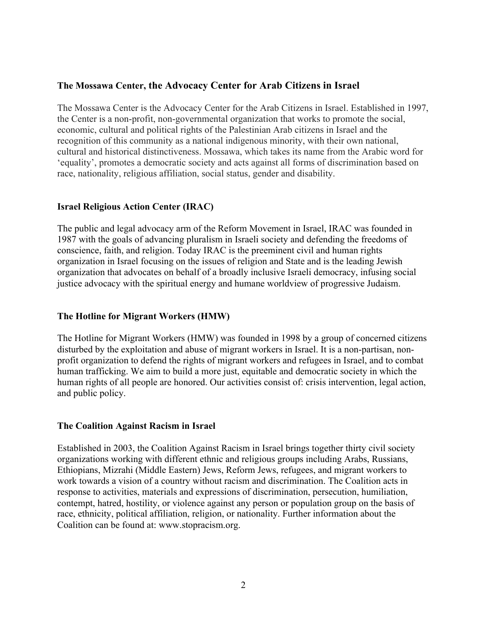## **The Mossawa Center, the Advocacy Center for Arab Citizens in Israel**

The Mossawa Center is the Advocacy Center for the Arab Citizens in Israel. Established in 1997, the Center is a non-profit, non-governmental organization that works to promote the social, economic, cultural and political rights of the Palestinian Arab citizens in Israel and the recognition of this community as a national indigenous minority, with their own national, cultural and historical distinctiveness. Mossawa, which takes its name from the Arabic word for 'equality', promotes a democratic society and acts against all forms of discrimination based on race, nationality, religious affiliation, social status, gender and disability.

## **Israel Religious Action Center (IRAC)**

The public and legal advocacy arm of the Reform Movement in Israel, IRAC was founded in 1987 with the goals of advancing pluralism in Israeli society and defending the freedoms of conscience, faith, and religion. Today IRAC is the preeminent civil and human rights organization in Israel focusing on the issues of religion and State and is the leading Jewish organization that advocates on behalf of a broadly inclusive Israeli democracy, infusing social justice advocacy with the spiritual energy and humane worldview of progressive Judaism.

## **The Hotline for Migrant Workers (HMW)**

The Hotline for Migrant Workers (HMW) was founded in 1998 by a group of concerned citizens disturbed by the exploitation and abuse of migrant workers in Israel. It is a non-partisan, nonprofit organization to defend the rights of migrant workers and refugees in Israel, and to combat human trafficking. We aim to build a more just, equitable and democratic society in which the human rights of all people are honored. Our activities consist of: crisis intervention, legal action, and public policy.

## **The Coalition Against Racism in Israel**

Established in 2003, the Coalition Against Racism in Israel brings together thirty civil society organizations working with different ethnic and religious groups including Arabs, Russians, Ethiopians, Mizrahi (Middle Eastern) Jews, Reform Jews, refugees, and migrant workers to work towards a vision of a country without racism and discrimination. The Coalition acts in response to activities, materials and expressions of discrimination, persecution, humiliation, contempt, hatred, hostility, or violence against any person or population group on the basis of race, ethnicity, political affiliation, religion, or nationality. Further information about the Coalition can be found at: www.stopracism.org.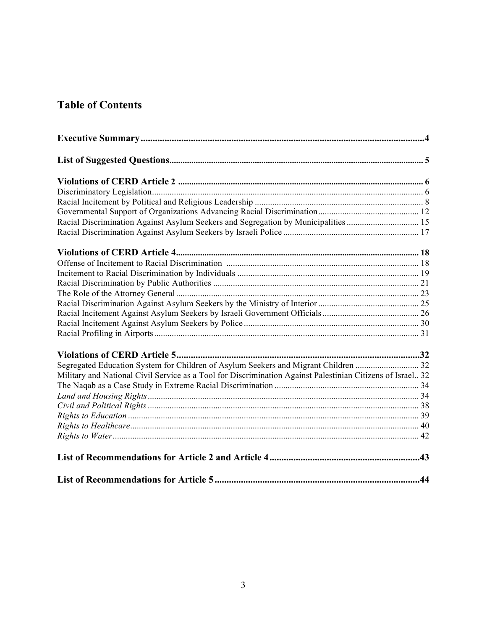# **Table of Contents**

| Racial Discrimination Against Asylum Seekers and Segregation by Municipalities  15                         |  |
|------------------------------------------------------------------------------------------------------------|--|
|                                                                                                            |  |
|                                                                                                            |  |
|                                                                                                            |  |
|                                                                                                            |  |
|                                                                                                            |  |
|                                                                                                            |  |
|                                                                                                            |  |
|                                                                                                            |  |
|                                                                                                            |  |
|                                                                                                            |  |
|                                                                                                            |  |
| Segregated Education System for Children of Asylum Seekers and Migrant Children  32                        |  |
| Military and National Civil Service as a Tool for Discrimination Against Palestinian Citizens of Israel 32 |  |
|                                                                                                            |  |
|                                                                                                            |  |
|                                                                                                            |  |
|                                                                                                            |  |
|                                                                                                            |  |
|                                                                                                            |  |
|                                                                                                            |  |
|                                                                                                            |  |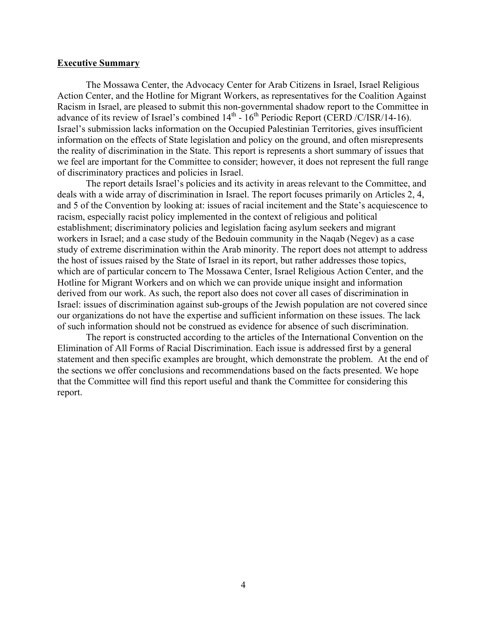#### **Executive Summary**

The Mossawa Center, the Advocacy Center for Arab Citizens in Israel, Israel Religious Action Center, and the Hotline for Migrant Workers, as representatives for the Coalition Against Racism in Israel, are pleased to submit this non-governmental shadow report to the Committee in advance of its review of Israel's combined  $14<sup>th</sup>$  -  $16<sup>th</sup>$  Periodic Report (CERD /C/ISR/14-16). Israel's submission lacks information on the Occupied Palestinian Territories, gives insufficient information on the effects of State legislation and policy on the ground, and often misrepresents the reality of discrimination in the State. This report is represents a short summary of issues that we feel are important for the Committee to consider; however, it does not represent the full range of discriminatory practices and policies in Israel.

The report details Israel's policies and its activity in areas relevant to the Committee, and deals with a wide array of discrimination in Israel. The report focuses primarily on Articles 2, 4, and 5 of the Convention by looking at: issues of racial incitement and the State's acquiescence to racism, especially racist policy implemented in the context of religious and political establishment; discriminatory policies and legislation facing asylum seekers and migrant workers in Israel; and a case study of the Bedouin community in the Naqab (Negev) as a case study of extreme discrimination within the Arab minority. The report does not attempt to address the host of issues raised by the State of Israel in its report, but rather addresses those topics, which are of particular concern to The Mossawa Center, Israel Religious Action Center, and the Hotline for Migrant Workers and on which we can provide unique insight and information derived from our work. As such, the report also does not cover all cases of discrimination in Israel: issues of discrimination against sub-groups of the Jewish population are not covered since our organizations do not have the expertise and sufficient information on these issues. The lack of such information should not be construed as evidence for absence of such discrimination.

The report is constructed according to the articles of the International Convention on the Elimination of All Forms of Racial Discrimination. Each issue is addressed first by a general statement and then specific examples are brought, which demonstrate the problem. At the end of the sections we offer conclusions and recommendations based on the facts presented. We hope that the Committee will find this report useful and thank the Committee for considering this report.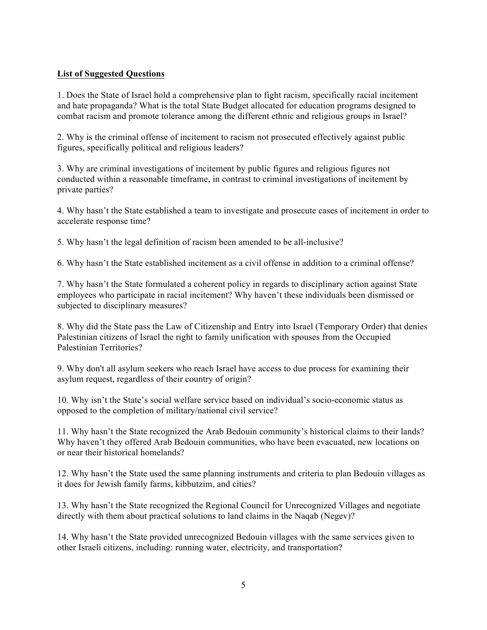## **List of Suggested Questions**

1. Does the State of Israel hold a comprehensive plan to fight racism, specifically racial incitement and hate propaganda? What is the total State Budget allocated for education programs designed to combat racism and promote tolerance among the different ethnic and religious groups in Israel?

2. Why is the criminal offense of incitement to racism not prosecuted effectively against public figures, specifically political and religious leaders?

3. Why are criminal investigations of incitement by public figures and religious figures not conducted within a reasonable timeframe, in contrast to criminal investigations of incitement by private parties?

4. Why hasn't the State established a team to investigate and prosecute cases of incitement in order to accelerate response time?

5. Why hasn't the legal definition of racism been amended to be all-inclusive?

6. Why hasn't the State established incitement as a civil offense in addition to a criminal offense?

7. Why hasn't the State formulated a coherent policy in regards to disciplinary action against State employees who participate in racial incitement? Why haven't these individuals been dismissed or subjected to disciplinary measures?

8. Why did the State pass the Law of Citizenship and Entry into Israel (Temporary Order) that denies Palestinian citizens of Israel the right to family unification with spouses from the Occupied Palestinian Territories?

9. Why don't all asylum seekers who reach Israel have access to due process for examining their asylum request, regardless of their country of origin?

10. Why isn't the State's social welfare service based on individual's socio-economic status as opposed to the completion of military/national civil service?

11. Why hasn't the State recognized the Arab Bedouin community's historical claims to their lands? Why haven't they offered Arab Bedouin communities, who have been evacuated, new locations on or near their historical homelands?

12. Why hasn't the State used the same planning instruments and criteria to plan Bedouin villages as it does for Jewish family farms, kibbutzim, and cities?

13. Why hasn't the State recognized the Regional Council for Unrecognized Villages and negotiate directly with them about practical solutions to land claims in the Naqab (Negev)?

14. Why hasn't the State provided unrecognized Bedouin villages with the same services given to other Israeli citizens, including: running water, electricity, and transportation?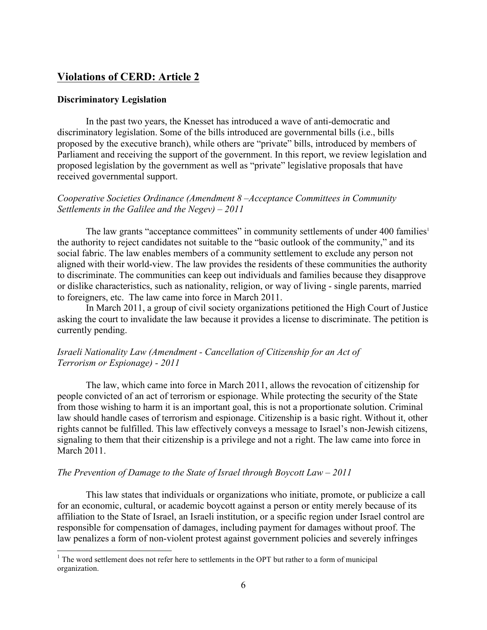## **Violations of CERD: Article 2**

#### **Discriminatory Legislation**

In the past two years, the Knesset has introduced a wave of anti-democratic and discriminatory legislation. Some of the bills introduced are governmental bills (i.e., bills proposed by the executive branch), while others are "private" bills, introduced by members of Parliament and receiving the support of the government. In this report, we review legislation and proposed legislation by the government as well as "private" legislative proposals that have received governmental support.

### *Cooperative Societies Ordinance (Amendment 8 –Acceptance Committees in Community Settlements in the Galilee and the Negev) – 2011*

The law grants "acceptance committees" in community settlements of under 400 families<sup>1</sup> the authority to reject candidates not suitable to the "basic outlook of the community," and its social fabric. The law enables members of a community settlement to exclude any person not aligned with their world-view. The law provides the residents of these communities the authority to discriminate. The communities can keep out individuals and families because they disapprove or dislike characteristics, such as nationality, religion, or way of living - single parents, married to foreigners, etc. The law came into force in March 2011.

In March 2011, a group of civil society organizations petitioned the High Court of Justice asking the court to invalidate the law because it provides a license to discriminate. The petition is currently pending.

## *Israeli Nationality Law (Amendment - Cancellation of Citizenship for an Act of Terrorism or Espionage) - 2011*

The law, which came into force in March 2011, allows the revocation of citizenship for people convicted of an act of terrorism or espionage. While protecting the security of the State from those wishing to harm it is an important goal, this is not a proportionate solution. Criminal law should handle cases of terrorism and espionage. Citizenship is a basic right. Without it, other rights cannot be fulfilled. This law effectively conveys a message to Israel's non-Jewish citizens, signaling to them that their citizenship is a privilege and not a right. The law came into force in March 2011.

#### *The Prevention of Damage to the State of Israel through Boycott Law – 2011*

This law states that individuals or organizations who initiate, promote, or publicize a call for an economic, cultural, or academic boycott against a person or entity merely because of its affiliation to the State of Israel, an Israeli institution, or a specific region under Israel control are responsible for compensation of damages, including payment for damages without proof. The law penalizes a form of non-violent protest against government policies and severely infringes

 $1$  The word settlement does not refer here to settlements in the OPT but rather to a form of municipal organization.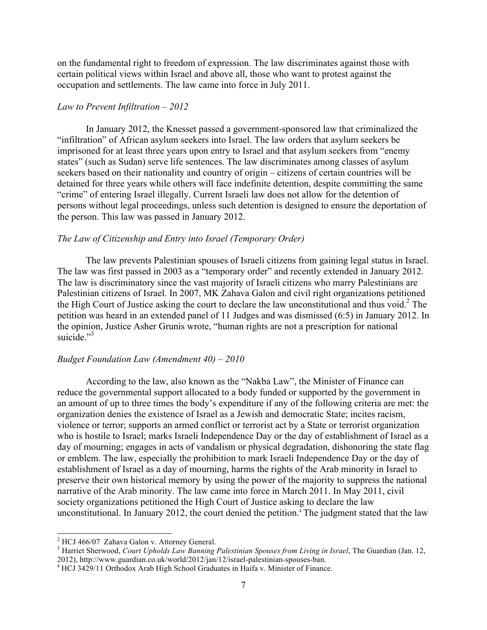on the fundamental right to freedom of expression. The law discriminates against those with certain political views within Israel and above all, those who want to protest against the occupation and settlements. The law came into force in July 2011.

#### *Law to Prevent Infiltration – 2012*

In January 2012, the Knesset passed a government-sponsored law that criminalized the "infiltration" of African asylum seekers into Israel. The law orders that asylum seekers be imprisoned for at least three years upon entry to Israel and that asylum seekers from "enemy states" (such as Sudan) serve life sentences. The law discriminates among classes of asylum seekers based on their nationality and country of origin – citizens of certain countries will be detained for three years while others will face indefinite detention, despite committing the same "crime" of entering Israel illegally. Current Israeli law does not allow for the detention of persons without legal proceedings, unless such detention is designed to ensure the deportation of the person. This law was passed in January 2012.

#### *The Law of Citizenship and Entry into Israel (Temporary Order)*

The law prevents Palestinian spouses of Israeli citizens from gaining legal status in Israel. The law was first passed in 2003 as a "temporary order" and recently extended in January 2012. The law is discriminatory since the vast majority of Israeli citizens who marry Palestinians are Palestinian citizens of Israel. In 2007, MK Zahava Galon and civil right organizations petitioned the High Court of Justice asking the court to declare the law unconstitutional and thus void.<sup>2</sup> The petition was heard in an extended panel of 11 Judges and was dismissed (6:5) in January 2012. In the opinion, Justice Asher Grunis wrote, "human rights are not a prescription for national suicide. $"^{3}$ 

#### *Budget Foundation Law (Amendment 40) – 2010*

According to the law, also known as the "Nakba Law", the Minister of Finance can reduce the governmental support allocated to a body funded or supported by the government in an amount of up to three times the body's expenditure if any of the following criteria are met: the organization denies the existence of Israel as a Jewish and democratic State; incites racism, violence or terror; supports an armed conflict or terrorist act by a State or terrorist organization who is hostile to Israel; marks Israeli Independence Day or the day of establishment of Israel as a day of mourning; engages in acts of vandalism or physical degradation, dishonoring the state flag or emblem. The law, especially the prohibition to mark Israeli Independence Day or the day of establishment of Israel as a day of mourning, harms the rights of the Arab minority in Israel to preserve their own historical memory by using the power of the majority to suppress the national narrative of the Arab minority. The law came into force in March 2011. In May 2011, civil society organizations petitioned the High Court of Justice asking to declare the law unconstitutional. In January 2012, the court denied the petition.<sup>4</sup> The judgment stated that the law

 $^{2}$  HCJ 466/07 Zahava Galon v. Attorney General.<br> $^{3}$  Harriet Sherwood, *Court Upholds Law Banning Palestinian Spouses from Living in Israel*, The Guardian (Jan. 12, 2012), http://www.guardian.co.uk/world/2012/jan/12/israel-palestinian-spouses-ban.

<sup>4</sup> HCJ 3429/11 Orthodox Arab High School Graduates in Haifa v. Minister of Finance.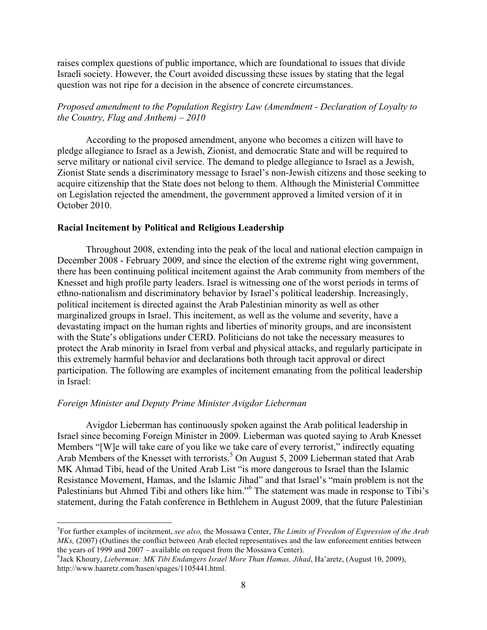raises complex questions of public importance, which are foundational to issues that divide Israeli society. However, the Court avoided discussing these issues by stating that the legal question was not ripe for a decision in the absence of concrete circumstances.

## *Proposed amendment to the Population Registry Law (Amendment - Declaration of Loyalty to the Country, Flag and Anthem) – 2010*

According to the proposed amendment, anyone who becomes a citizen will have to pledge allegiance to Israel as a Jewish, Zionist, and democratic State and will be required to serve military or national civil service. The demand to pledge allegiance to Israel as a Jewish, Zionist State sends a discriminatory message to Israel's non-Jewish citizens and those seeking to acquire citizenship that the State does not belong to them. Although the Ministerial Committee on Legislation rejected the amendment, the government approved a limited version of it in October 2010.

## **Racial Incitement by Political and Religious Leadership**

Throughout 2008, extending into the peak of the local and national election campaign in December 2008 - February 2009, and since the election of the extreme right wing government, there has been continuing political incitement against the Arab community from members of the Knesset and high profile party leaders. Israel is witnessing one of the worst periods in terms of ethno-nationalism and discriminatory behavior by Israel's political leadership. Increasingly, political incitement is directed against the Arab Palestinian minority as well as other marginalized groups in Israel. This incitement, as well as the volume and severity, have a devastating impact on the human rights and liberties of minority groups, and are inconsistent with the State's obligations under CERD. Politicians do not take the necessary measures to protect the Arab minority in Israel from verbal and physical attacks, and regularly participate in this extremely harmful behavior and declarations both through tacit approval or direct participation. The following are examples of incitement emanating from the political leadership in Israel:

#### *Foreign Minister and Deputy Prime Minister Avigdor Lieberman*

!!!!!!!!!!!!!!!!!!!!!!!!!!!!!!!!!!!!!!!!!!!!!!!!!!!!!!!!!!!!

Avigdor Lieberman has continuously spoken against the Arab political leadership in Israel since becoming Foreign Minister in 2009. Lieberman was quoted saying to Arab Knesset Members "[W]e will take care of you like we take care of every terrorist," indirectly equating Arab Members of the Knesset with terrorists.<sup>5</sup> On August 5, 2009 Lieberman stated that Arab MK Ahmad Tibi, head of the United Arab List "is more dangerous to Israel than the Islamic Resistance Movement, Hamas, and the Islamic Jihad" and that Israel's "main problem is not the Palestinians but Ahmed Tibi and others like him."<sup>6</sup> The statement was made in response to Tibi's statement, during the Fatah conference in Bethlehem in August 2009, that the future Palestinian

<sup>5</sup> For further examples of incitement, *see also,* the Mossawa Center, *The Limits of Freedom of Expression of the Arab MKs*, (2007) (Outlines the conflict between Arab elected representatives and the law enforcement entities between the years of 1999 and 2007 – available on request from the Mossawa Center).

<sup>&</sup>lt;sup>6</sup> Jack Khoury, *Lieberman: MK Tibi Endangers Israel More Than Hamas, Jihad, Ha'aretz, (August 10, 2009),* http://www.haaretz.com/hasen/spages/1105441.html.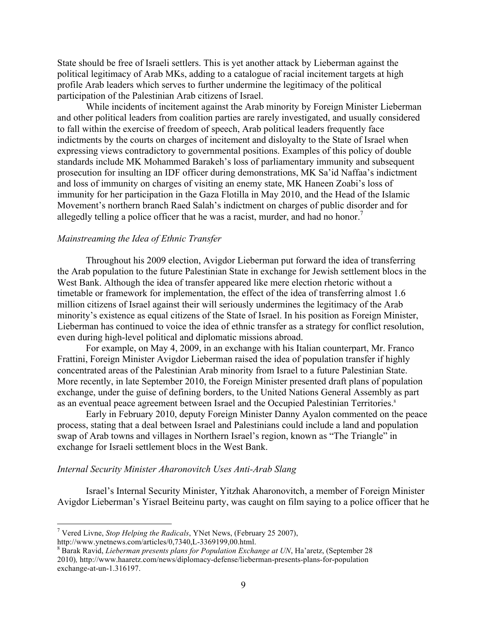State should be free of Israeli settlers. This is yet another attack by Lieberman against the political legitimacy of Arab MKs, adding to a catalogue of racial incitement targets at high profile Arab leaders which serves to further undermine the legitimacy of the political participation of the Palestinian Arab citizens of Israel.

While incidents of incitement against the Arab minority by Foreign Minister Lieberman and other political leaders from coalition parties are rarely investigated, and usually considered to fall within the exercise of freedom of speech, Arab political leaders frequently face indictments by the courts on charges of incitement and disloyalty to the State of Israel when expressing views contradictory to governmental positions. Examples of this policy of double standards include MK Mohammed Barakeh's loss of parliamentary immunity and subsequent prosecution for insulting an IDF officer during demonstrations, MK Sa'id Naffaa's indictment and loss of immunity on charges of visiting an enemy state, MK Haneen Zoabi's loss of immunity for her participation in the Gaza Flotilla in May 2010, and the Head of the Islamic Movement's northern branch Raed Salah's indictment on charges of public disorder and for allegedly telling a police officer that he was a racist, murder, and had no honor.<sup>7</sup>

#### *Mainstreaming the Idea of Ethnic Transfer*

Throughout his 2009 election, Avigdor Lieberman put forward the idea of transferring the Arab population to the future Palestinian State in exchange for Jewish settlement blocs in the West Bank. Although the idea of transfer appeared like mere election rhetoric without a timetable or framework for implementation, the effect of the idea of transferring almost 1.6 million citizens of Israel against their will seriously undermines the legitimacy of the Arab minority's existence as equal citizens of the State of Israel. In his position as Foreign Minister, Lieberman has continued to voice the idea of ethnic transfer as a strategy for conflict resolution, even during high-level political and diplomatic missions abroad.

For example, on May 4, 2009, in an exchange with his Italian counterpart, Mr. Franco Frattini, Foreign Minister Avigdor Lieberman raised the idea of population transfer if highly concentrated areas of the Palestinian Arab minority from Israel to a future Palestinian State. More recently, in late September 2010, the Foreign Minister presented draft plans of population exchange, under the guise of defining borders, to the United Nations General Assembly as part as an eventual peace agreement between Israel and the Occupied Palestinian Territories.<sup>8</sup>

Early in February 2010, deputy Foreign Minister Danny Ayalon commented on the peace process, stating that a deal between Israel and Palestinians could include a land and population swap of Arab towns and villages in Northern Israel's region, known as "The Triangle" in exchange for Israeli settlement blocs in the West Bank.

#### *Internal Security Minister Aharonovitch Uses Anti-Arab Slang*

Israel's Internal Security Minister, Yitzhak Aharonovitch, a member of Foreign Minister Avigdor Lieberman's Yisrael Beiteinu party, was caught on film saying to a police officer that he

<sup>&</sup>lt;sup>7</sup> Vered Livne, *Stop Helping the Radicals*, YNet News, (February 25 2007), http://www.ynetnews.com/articles/0,7340,L-3369199,00.html.

 $8$  Barak Ravid, Lieberman presents plans for Population Exchange at UN, Ha'aretz, (September 28 2010)*,* http://www.haaretz.com/news/diplomacy-defense/lieberman-presents-plans-for-population exchange-at-un-1.316197.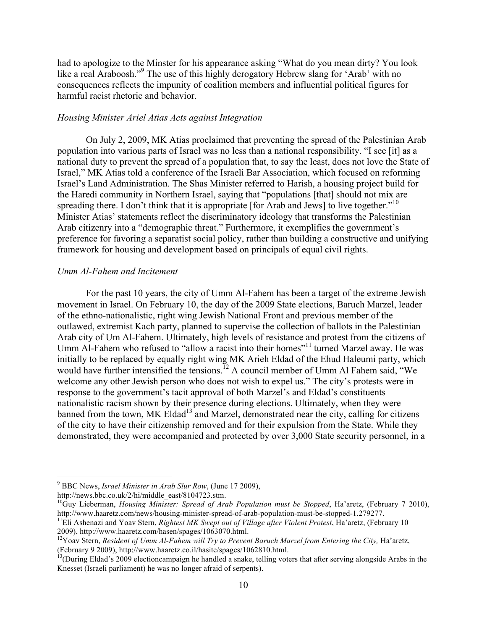had to apologize to the Minster for his appearance asking "What do you mean dirty? You look like a real Araboosh."<sup>9</sup> The use of this highly derogatory Hebrew slang for 'Arab' with no consequences reflects the impunity of coalition members and influential political figures for harmful racist rhetoric and behavior.

#### *Housing Minister Ariel Atias Acts against Integration*

On July 2, 2009, MK Atias proclaimed that preventing the spread of the Palestinian Arab population into various parts of Israel was no less than a national responsibility. "I see [it] as a national duty to prevent the spread of a population that, to say the least, does not love the State of Israel," MK Atias told a conference of the Israeli Bar Association, which focused on reforming Israel's Land Administration. The Shas Minister referred to Harish, a housing project build for the Haredi community in Northern Israel, saying that "populations [that] should not mix are spreading there. I don't think that it is appropriate [for Arab and Jews] to live together. $10$ Minister Atias' statements reflect the discriminatory ideology that transforms the Palestinian Arab citizenry into a "demographic threat." Furthermore, it exemplifies the government's preference for favoring a separatist social policy, rather than building a constructive and unifying framework for housing and development based on principals of equal civil rights.

#### *Umm Al-Fahem and Incitement*

For the past 10 years, the city of Umm Al-Fahem has been a target of the extreme Jewish movement in Israel. On February 10, the day of the 2009 State elections, Baruch Marzel, leader of the ethno-nationalistic, right wing Jewish National Front and previous member of the outlawed, extremist Kach party, planned to supervise the collection of ballots in the Palestinian Arab city of Um Al-Fahem. Ultimately, high levels of resistance and protest from the citizens of Umm Al-Fahem who refused to "allow a racist into their homes"<sup>11</sup> turned Marzel away. He was initially to be replaced by equally right wing MK Arieh Eldad of the Ehud Haleumi party, which would have further intensified the tensions.<sup>12</sup> A council member of Umm Al Fahem said, "We welcome any other Jewish person who does not wish to expel us." The city's protests were in response to the government's tacit approval of both Marzel's and Eldad's constituents nationalistic racism shown by their presence during elections. Ultimately, when they were banned from the town, MK Eldad<sup>13</sup> and Marzel, demonstrated near the city, calling for citizens of the city to have their citizenship removed and for their expulsion from the State. While they demonstrated, they were accompanied and protected by over 3,000 State security personnel, in a

<sup>&</sup>lt;sup>9</sup> BBC News, *Israel Minister in Arab Slur Row*, (June 17 2009), http://news.bbc.co.uk/2/hi/middle east/8104723.stm.

 ${}^{10}$ Guy Lieberman, *Housing Minister: Spread of Arab Population must be Stopped*, Ha'aretz, (February 7 2010), http://www.haaretz.com/news/housing-minister-spread-of-arab-population-must-be-stopped-1.279277.<br><sup>11</sup>Eli Ashenazi and Yoav Stern, *Rightest MK Swept out of Village after Violent Protest*, Ha'aretz, (February 10

<sup>2009),</sup> http://www.haaretz.com/hasen/spages/1063070.html.<br><sup>12</sup>Yoav Stern, *Resident of Umm Al-Fahem will Try to Prevent Baruch Marzel from Entering the City, Ha'aretz,* 

<sup>(</sup>February 9 2009), http://www.haaretz.co.il/hasite/spages/1062810.html. 13(During Eldad's 2009 electioncampaign he handled a snake, telling voters that after serving alongside Arabs in the

Knesset (Israeli parliament) he was no longer afraid of serpents).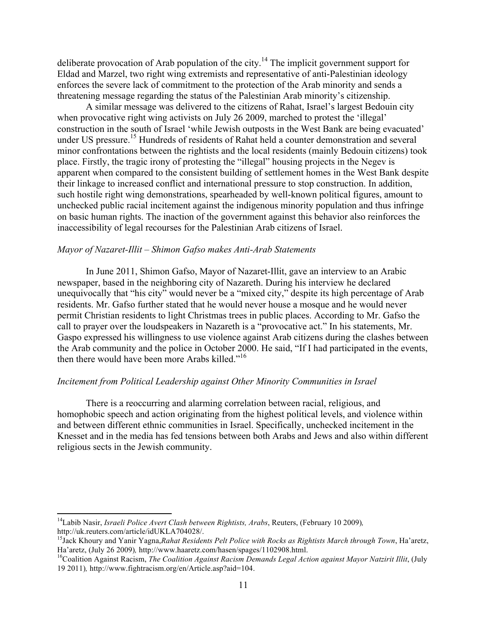deliberate provocation of Arab population of the city.<sup>14</sup> The implicit government support for Eldad and Marzel, two right wing extremists and representative of anti-Palestinian ideology enforces the severe lack of commitment to the protection of the Arab minority and sends a threatening message regarding the status of the Palestinian Arab minority's citizenship.

A similar message was delivered to the citizens of Rahat, Israel's largest Bedouin city when provocative right wing activists on July 26 2009, marched to protest the 'illegal' construction in the south of Israel 'while Jewish outposts in the West Bank are being evacuated' under US pressure.<sup>15</sup> Hundreds of residents of Rahat held a counter demonstration and several minor confrontations between the rightists and the local residents (mainly Bedouin citizens) took place. Firstly, the tragic irony of protesting the "illegal" housing projects in the Negev is apparent when compared to the consistent building of settlement homes in the West Bank despite their linkage to increased conflict and international pressure to stop construction. In addition, such hostile right wing demonstrations, spearheaded by well-known political figures, amount to unchecked public racial incitement against the indigenous minority population and thus infringe on basic human rights. The inaction of the government against this behavior also reinforces the inaccessibility of legal recourses for the Palestinian Arab citizens of Israel.

### *Mayor of Nazaret-Illit – Shimon Gafso makes Anti-Arab Statements*

In June 2011, Shimon Gafso, Mayor of Nazaret-Illit, gave an interview to an Arabic newspaper, based in the neighboring city of Nazareth. During his interview he declared unequivocally that "his city" would never be a "mixed city," despite its high percentage of Arab residents. Mr. Gafso further stated that he would never house a mosque and he would never permit Christian residents to light Christmas trees in public places. According to Mr. Gafso the call to prayer over the loudspeakers in Nazareth is a "provocative act." In his statements, Mr. Gaspo expressed his willingness to use violence against Arab citizens during the clashes between the Arab community and the police in October 2000. He said, "If I had participated in the events, then there would have been more Arabs killed."<sup>16</sup>

#### *Incitement from Political Leadership against Other Minority Communities in Israel*

There is a reoccurring and alarming correlation between racial, religious, and homophobic speech and action originating from the highest political levels, and violence within and between different ethnic communities in Israel. Specifically, unchecked incitement in the Knesset and in the media has fed tensions between both Arabs and Jews and also within different religious sects in the Jewish community.

<sup>&</sup>lt;sup>14</sup>Labib Nasir, *Israeli Police Avert Clash between Rightists, Arabs*, Reuters, (February 10 2009), http://uk.reuters.com/article/idUKLA704028/.

<sup>&</sup>lt;sup>15</sup> Jack Khoury and Yanir Yagna, Rahat Residents Pelt Police with Rocks as Rightists March through Town, Ha'aretz,<br>Ha'aretz, (July 26 2009), http://www.haaretz.com/hasen/spages/1102908.html.

<sup>&</sup>lt;sup>16</sup>Coalition Against Racism, *The Coalition Against Racism Demands Legal Action against Mayor Natzirit Illit*, (July 19 2011)*,* http://www.fightracism.org/en/Article.asp?aid=104.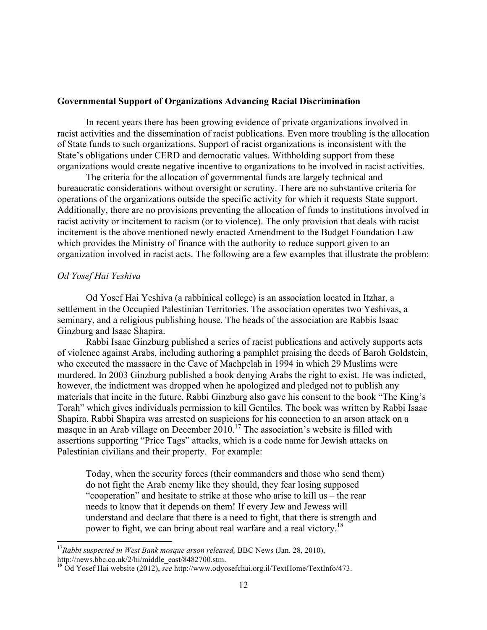#### **Governmental Support of Organizations Advancing Racial Discrimination**

In recent years there has been growing evidence of private organizations involved in racist activities and the dissemination of racist publications. Even more troubling is the allocation of State funds to such organizations. Support of racist organizations is inconsistent with the State's obligations under CERD and democratic values. Withholding support from these organizations would create negative incentive to organizations to be involved in racist activities.

The criteria for the allocation of governmental funds are largely technical and bureaucratic considerations without oversight or scrutiny. There are no substantive criteria for operations of the organizations outside the specific activity for which it requests State support. Additionally, there are no provisions preventing the allocation of funds to institutions involved in racist activity or incitement to racism (or to violence). The only provision that deals with racist incitement is the above mentioned newly enacted Amendment to the Budget Foundation Law which provides the Ministry of finance with the authority to reduce support given to an organization involved in racist acts. The following are a few examples that illustrate the problem:

### *Od Yosef Hai Yeshiva*

!!!!!!!!!!!!!!!!!!!!!!!!!!!!!!!!!!!!!!!!!!!!!!!!!!!!!!!!!!!!

Od Yosef Hai Yeshiva (a rabbinical college) is an association located in Itzhar, a settlement in the Occupied Palestinian Territories. The association operates two Yeshivas, a seminary, and a religious publishing house. The heads of the association are Rabbis Isaac Ginzburg and Isaac Shapira.

Rabbi Isaac Ginzburg published a series of racist publications and actively supports acts of violence against Arabs, including authoring a pamphlet praising the deeds of Baroh Goldstein, who executed the massacre in the Cave of Machpelah in 1994 in which 29 Muslims were murdered. In 2003 Ginzburg published a book denying Arabs the right to exist. He was indicted, however, the indictment was dropped when he apologized and pledged not to publish any materials that incite in the future. Rabbi Ginzburg also gave his consent to the book "The King's Torah" which gives individuals permission to kill Gentiles. The book was written by Rabbi Isaac Shapira. Rabbi Shapira was arrested on suspicions for his connection to an arson attack on a masque in an Arab village on December  $2010$ .<sup>17</sup> The association's website is filled with assertions supporting "Price Tags" attacks, which is a code name for Jewish attacks on Palestinian civilians and their property. For example:

Today, when the security forces (their commanders and those who send them) do not fight the Arab enemy like they should, they fear losing supposed "cooperation" and hesitate to strike at those who arise to kill us – the rear needs to know that it depends on them! If every Jew and Jewess will understand and declare that there is a need to fight, that there is strength and power to fight, we can bring about real warfare and a real victory.<sup>18</sup>

<sup>&</sup>lt;sup>17</sup>Rabbi suspected in West Bank mosque arson released, BBC News (Jan. 28, 2010),

http://news.bbc.co.uk/2/hi/middle\_east/8482700.stm.<br><sup>18</sup> Od Yosef Hai website (2012), *see* http://www.odyosefchai.org.il/TextHome/TextInfo/473.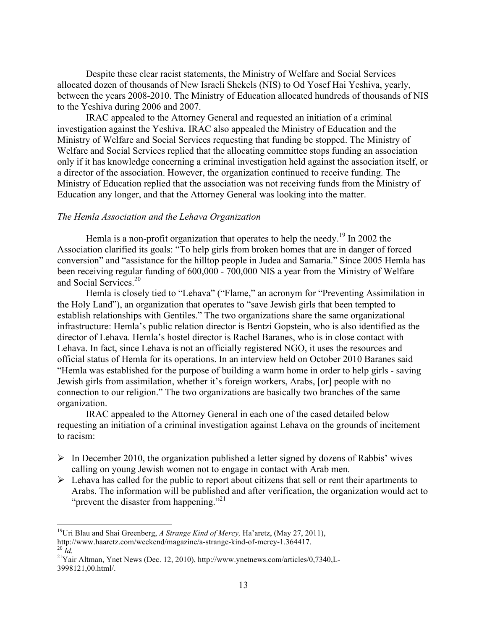Despite these clear racist statements, the Ministry of Welfare and Social Services allocated dozen of thousands of New Israeli Shekels (NIS) to Od Yosef Hai Yeshiva, yearly, between the years 2008-2010. The Ministry of Education allocated hundreds of thousands of NIS to the Yeshiva during 2006 and 2007.

IRAC appealed to the Attorney General and requested an initiation of a criminal investigation against the Yeshiva. IRAC also appealed the Ministry of Education and the Ministry of Welfare and Social Services requesting that funding be stopped. The Ministry of Welfare and Social Services replied that the allocating committee stops funding an association only if it has knowledge concerning a criminal investigation held against the association itself, or a director of the association. However, the organization continued to receive funding. The Ministry of Education replied that the association was not receiving funds from the Ministry of Education any longer, and that the Attorney General was looking into the matter.

#### *The Hemla Association and the Lehava Organization*

Hemla is a non-profit organization that operates to help the needy.<sup>19</sup> In 2002 the Association clarified its goals: "To help girls from broken homes that are in danger of forced conversion" and "assistance for the hilltop people in Judea and Samaria." Since 2005 Hemla has been receiving regular funding of 600,000 - 700,000 NIS a year from the Ministry of Welfare and Social Services.<sup>20</sup>

Hemla is closely tied to "Lehava" ("Flame," an acronym for "Preventing Assimilation in the Holy Land"), an organization that operates to "save Jewish girls that been tempted to establish relationships with Gentiles." The two organizations share the same organizational infrastructure: Hemla's public relation director is Bentzi Gopstein, who is also identified as the director of Lehava. Hemla's hostel director is Rachel Baranes, who is in close contact with Lehava. In fact, since Lehava is not an officially registered NGO, it uses the resources and official status of Hemla for its operations. In an interview held on October 2010 Baranes said "Hemla was established for the purpose of building a warm home in order to help girls - saving Jewish girls from assimilation, whether it's foreign workers, Arabs, [or] people with no connection to our religion." The two organizations are basically two branches of the same organization.

IRAC appealed to the Attorney General in each one of the cased detailed below requesting an initiation of a criminal investigation against Lehava on the grounds of incitement to racism:

- $\triangleright$  In December 2010, the organization published a letter signed by dozens of Rabbis' wives calling on young Jewish women not to engage in contact with Arab men.
- $\triangleright$  Lehava has called for the public to report about citizens that sell or rent their apartments to Arabs. The information will be published and after verification, the organization would act to "prevent the disaster from happening."<sup>21</sup>

<sup>&</sup>lt;sup>19</sup>Uri Blau and Shai Greenberg, *A Strange Kind of Mercy*, Ha'aretz, (May 27, 2011),

http://www.haaretz.com/weekend/magazine/a-strange-kind-of-mercy-1.364417.<br><sup>20</sup> *Id.* 21Yair Altman, Ynet News (Dec. 12, 2010), http://www.ynetnews.com/articles/0,7340,L-

<sup>3998121,00.</sup>html/.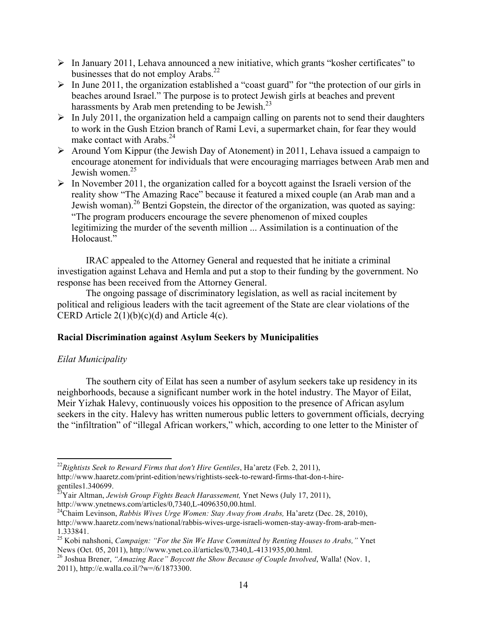- $\triangleright$  In January 2011, Lehava announced a new initiative, which grants "kosher certificates" to businesses that do not employ Arabs. $^{22}$
- $\triangleright$  In June 2011, the organization established a "coast guard" for "the protection of our girls in beaches around Israel." The purpose is to protect Jewish girls at beaches and prevent harassments by Arab men pretending to be Jewish. $^{23}$
- $\triangleright$  In July 2011, the organization held a campaign calling on parents not to send their daughters to work in the Gush Etzion branch of Rami Levi, a supermarket chain, for fear they would make contact with Arabs.<sup>24</sup>
- $\triangleright$  Around Yom Kippur (the Jewish Day of Atonement) in 2011, Lehava issued a campaign to encourage atonement for individuals that were encouraging marriages between Arab men and Jewish women.<sup>25</sup>
- $\triangleright$  In November 2011, the organization called for a boycott against the Israeli version of the reality show "The Amazing Race" because it featured a mixed couple (an Arab man and a Jewish woman).<sup>26</sup> Bentzi Gopstein, the director of the organization, was quoted as saying: "The program producers encourage the severe phenomenon of mixed couples legitimizing the murder of the seventh million ... Assimilation is a continuation of the Holocaust."

IRAC appealed to the Attorney General and requested that he initiate a criminal investigation against Lehava and Hemla and put a stop to their funding by the government. No response has been received from the Attorney General.

The ongoing passage of discriminatory legislation, as well as racial incitement by political and religious leaders with the tacit agreement of the State are clear violations of the CERD Article 2(1)(b)(c)(d) and Article 4(c).

## **Racial Discrimination against Asylum Seekers by Municipalities**

## *Eilat Municipality*

The southern city of Eilat has seen a number of asylum seekers take up residency in its neighborhoods, because a significant number work in the hotel industry. The Mayor of Eilat, Meir Yizhak Halevy, continuously voices his opposition to the presence of African asylum seekers in the city. Halevy has written numerous public letters to government officials, decrying the "infiltration" of "illegal African workers," which, according to one letter to the Minister of

<sup>!!!!!!!!!!!!!!!!!!!!!!!!!!!!!!!!!!!!!!!!!!!!!!!!!!!!!!!!!!!!</sup> <sup>22</sup>*Rightists Seek to Reward Firms that don't Hire Gentiles*, Ha'aretz (Feb. 2, 2011),

http://www.haaretz.com/print-edition/news/rightists-seek-to-reward-firms-that-don-t-hiregentiles1.340699. 23Yair Altman, *Jewish Group Fights Beach Harassement,* Ynet News (July 17, 2011),

http://www.ynetnews.com/articles/0,7340,L-4096350,00.html. 24Chaim Levinson, *Rabbis Wives Urge Women: Stay Away from Arabs,* Ha'aretz (Dec. 28, 2010), http://www.haaretz.com/news/national/rabbis-wives-urge-israeli-women-stay-away-from-arab-men-

<sup>1.333841.</sup> <sup>25</sup> Kobi nahshoni, *Campaign: "For the Sin We Have Committed by Renting Houses to Arabs,"* Ynet

News (Oct. 05, 2011), http://www.you.html.<br><sup>26</sup> Joshua Brener, *"Amazing Race" Boycott the Show Because of Couple Involved*, Walla! (Nov. 1, 2011), http://e.walla.co.il/?w=/6/1873300.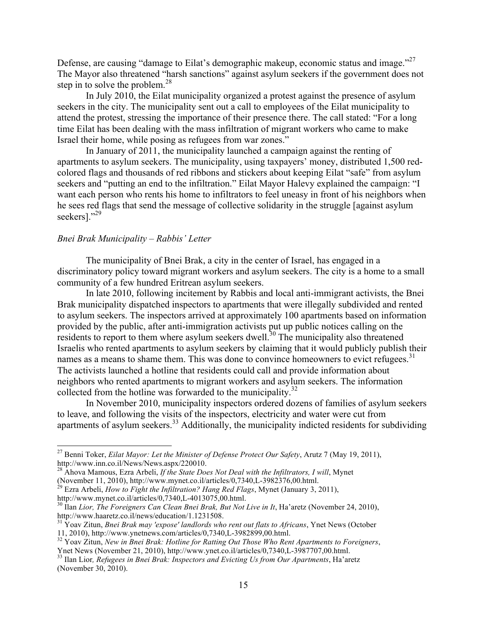Defense, are causing "damage to Eilat's demographic makeup, economic status and image."<sup>27</sup> The Mayor also threatened "harsh sanctions" against asylum seekers if the government does not step in to solve the problem.<sup>28</sup>

In July 2010, the Eilat municipality organized a protest against the presence of asylum seekers in the city. The municipality sent out a call to employees of the Eilat municipality to attend the protest, stressing the importance of their presence there. The call stated: "For a long time Eilat has been dealing with the mass infiltration of migrant workers who came to make Israel their home, while posing as refugees from war zones."

In January of 2011, the municipality launched a campaign against the renting of apartments to asylum seekers. The municipality, using taxpayers' money, distributed 1,500 redcolored flags and thousands of red ribbons and stickers about keeping Eilat "safe" from asylum seekers and "putting an end to the infiltration." Eilat Mayor Halevy explained the campaign: "I want each person who rents his home to infiltrators to feel uneasy in front of his neighbors when he sees red flags that send the message of collective solidarity in the struggle [against asylum seekers]."<sup>29</sup>

## *Bnei Brak Municipality – Rabbis' Letter*

The municipality of Bnei Brak, a city in the center of Israel, has engaged in a discriminatory policy toward migrant workers and asylum seekers. The city is a home to a small community of a few hundred Eritrean asylum seekers.

In late 2010, following incitement by Rabbis and local anti-immigrant activists, the Bnei Brak municipality dispatched inspectors to apartments that were illegally subdivided and rented to asylum seekers. The inspectors arrived at approximately 100 apartments based on information provided by the public, after anti-immigration activists put up public notices calling on the residents to report to them where asylum seekers dwell.<sup>30</sup> The municipality also threatened Israelis who rented apartments to asylum seekers by claiming that it would publicly publish their names as a means to shame them. This was done to convince homeowners to evict refugees.<sup>31</sup> The activists launched a hotline that residents could call and provide information about neighbors who rented apartments to migrant workers and asylum seekers. The information collected from the hotline was forwarded to the municipality.<sup>32</sup>

In November 2010, municipality inspectors ordered dozens of families of asylum seekers to leave, and following the visits of the inspectors, electricity and water were cut from apartments of asylum seekers.<sup>33</sup> Additionally, the municipality indicted residents for subdividing

<sup>&</sup>lt;sup>27</sup> Benni Toker, *Eilat Mayor: Let the Minister of Defense Protect Our Safety*, Arutz 7 (May 19, 2011), http://www.inn.co.il/News/News.aspx/220010.

Ahova Mamous, Ezra Arbeli, *If the State Does Not Deal with the Infiltrators, I will*, Mynet

<sup>(</sup>November 11, 2010), http://www.mynet.co.il/articles/0,7340,L-3982376,00.html.<br><sup>29</sup> Ezra Arbeli, *How to Fight the Infiltration? Hang Red Flags*, Mynet (January 3, 2011),

http://www.mynet.co.il/articles/0,7340,L-4013075,00.html.<br><sup>30</sup> Ilan *Lior, The Foreigners Can Clean Bnei Brak, But Not Live in It*, Ha'aretz (November 24, 2010),

http://www.haaretz.co.il/news/education/1.1231508.<br><sup>31</sup> Yoav Zitun, *Bnei Brak may 'expose' landlords who rent out flats to Africans*, Ynet News (October 11, 2010), http://www.ynetnews.com/articles/0,7340,L-3982899,00.html

<sup>&</sup>lt;sup>32</sup> Yoav Zitun, New in Bnei Brak: Hotline for Ratting Out Those Who Rent Apartments to Foreigners,

Ynet News (November 21, 2010), http://www.ynet.co.il/articles/0,7340,L-3987707,00.html.<br><sup>33</sup> Ilan Lior, *Refugees in Bnei Brak: Inspectors and Evicting Us from Our Apartments*, Ha'aretz (November 30, 2010).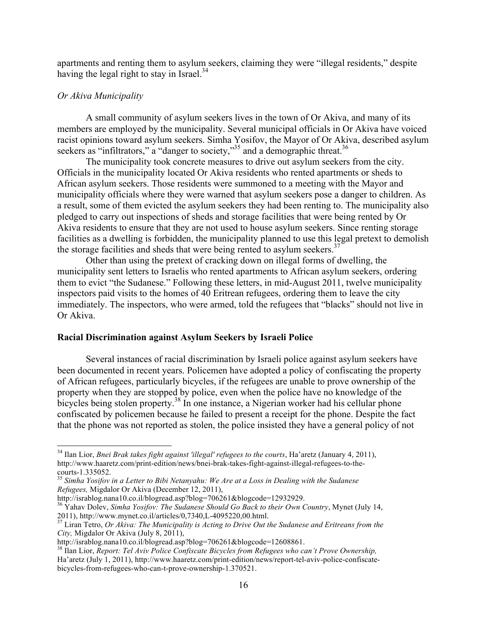apartments and renting them to asylum seekers, claiming they were "illegal residents," despite having the legal right to stay in Israel. $34$ 

#### *Or Akiva Municipality*

A small community of asylum seekers lives in the town of Or Akiva, and many of its members are employed by the municipality. Several municipal officials in Or Akiva have voiced racist opinions toward asylum seekers. Simha Yosifov, the Mayor of Or Akiva, described asylum seekers as "infiltrators," a "danger to society,"<sup>35</sup> and a demographic threat.<sup>36</sup>

The municipality took concrete measures to drive out asylum seekers from the city. Officials in the municipality located Or Akiva residents who rented apartments or sheds to African asylum seekers. Those residents were summoned to a meeting with the Mayor and municipality officials where they were warned that asylum seekers pose a danger to children. As a result, some of them evicted the asylum seekers they had been renting to. The municipality also pledged to carry out inspections of sheds and storage facilities that were being rented by Or Akiva residents to ensure that they are not used to house asylum seekers. Since renting storage facilities as a dwelling is forbidden, the municipality planned to use this legal pretext to demolish the storage facilities and sheds that were being rented to asylum seekers.<sup>37</sup>

Other than using the pretext of cracking down on illegal forms of dwelling, the municipality sent letters to Israelis who rented apartments to African asylum seekers, ordering them to evict "the Sudanese." Following these letters, in mid-August 2011, twelve municipality inspectors paid visits to the homes of 40 Eritrean refugees, ordering them to leave the city immediately. The inspectors, who were armed, told the refugees that "blacks" should not live in Or Akiva.

#### **Racial Discrimination against Asylum Seekers by Israeli Police**

Several instances of racial discrimination by Israeli police against asylum seekers have been documented in recent years. Policemen have adopted a policy of confiscating the property of African refugees, particularly bicycles, if the refugees are unable to prove ownership of the property when they are stopped by police, even when the police have no knowledge of the bicycles being stolen property.<sup>38</sup> In one instance, a Nigerian worker had his cellular phone confiscated by policemen because he failed to present a receipt for the phone. Despite the fact that the phone was not reported as stolen, the police insisted they have a general policy of not

<sup>&</sup>lt;sup>34</sup> Ilan Lior, *Bnei Brak takes fight against 'illegal' refugees to the courts*, Ha'aretz (January 4, 2011), http://www.haaretz.com/print-edition/news/bnei-brak-takes-fight-against-illegal-refugees-to-thecourts-1.335052. <sup>35</sup> *Simha Yosifov in a Letter to Bibi Netanyahu: We Are at a Loss in Dealing with the Sudanese* 

*Refugees,* Migdalor Or Akiva (December 12, 2011),

http://israblog.nana10.co.il/blogread.asp?blog=706261&blogcode=12932929. 36 Yahav Dolev, *Simha Yosifov: The Sudanese Should Go Back to their Own Country*, Mynet (July 14,

<sup>2011),</sup> http://www.mynet.co.il/articles/0,7340,L-4095220,00.html. 37 Liran Tetro, *Or Akiva: The Municipality is Acting to Drive Out the Sudanese and Eritreans from the City, Migdalor Or Akiva (July 8, 2011),*<br>http://israblog.nana10.co.il/blogread.asp?blog=706261&blogcode=12608861.

<sup>&</sup>lt;sup>38</sup> Ilan Lior, *Report: Tel Aviv Police Confiscate Bicycles from Refugees who can't Prove Ownership,* Ha'aretz (July 1, 2011), http://www.haaretz.com/print-edition/news/report-tel-aviv-police-confiscatebicycles-from-refugees-who-can-t-prove-ownership-1.370521.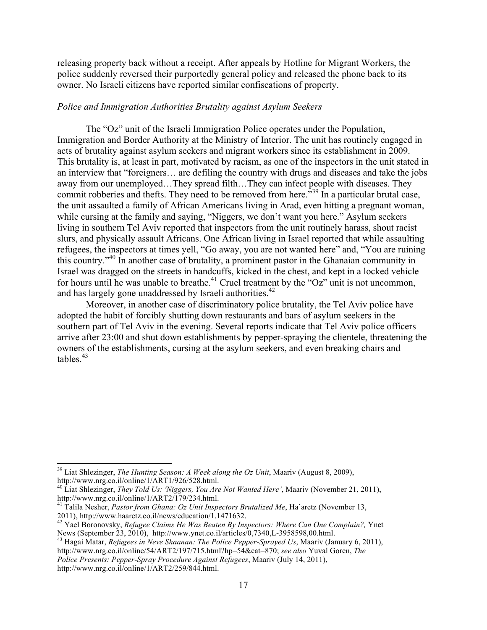releasing property back without a receipt. After appeals by Hotline for Migrant Workers, the police suddenly reversed their purportedly general policy and released the phone back to its owner. No Israeli citizens have reported similar confiscations of property.

#### *Police and Immigration Authorities Brutality against Asylum Seekers*

The "Oz" unit of the Israeli Immigration Police operates under the Population, Immigration and Border Authority at the Ministry of Interior. The unit has routinely engaged in acts of brutality against asylum seekers and migrant workers since its establishment in 2009. This brutality is, at least in part, motivated by racism, as one of the inspectors in the unit stated in an interview that "foreigners… are defiling the country with drugs and diseases and take the jobs away from our unemployed…They spread filth…They can infect people with diseases. They commit robberies and thefts. They need to be removed from here.<sup>539</sup> In a particular brutal case, the unit assaulted a family of African Americans living in Arad, even hitting a pregnant woman, while cursing at the family and saying, "Niggers, we don't want you here." Asylum seekers living in southern Tel Aviv reported that inspectors from the unit routinely harass, shout racist slurs, and physically assault Africans. One African living in Israel reported that while assaulting refugees, the inspectors at times yell, "Go away, you are not wanted here" and, "You are ruining this country."<sup>40</sup> In another case of brutality, a prominent pastor in the Ghanaian community in Israel was dragged on the streets in handcuffs, kicked in the chest, and kept in a locked vehicle for hours until he was unable to breathe.<sup>41</sup> Cruel treatment by the "Oz" unit is not uncommon, and has largely gone unaddressed by Israeli authorities.<sup>42</sup>

Moreover, in another case of discriminatory police brutality, the Tel Aviv police have adopted the habit of forcibly shutting down restaurants and bars of asylum seekers in the southern part of Tel Aviv in the evening. Several reports indicate that Tel Aviv police officers arrive after 23:00 and shut down establishments by pepper-spraying the clientele, threatening the owners of the establishments, cursing at the asylum seekers, and even breaking chairs and tables. $43$ 

<sup>&</sup>lt;sup>39</sup> Liat Shlezinger, *The Hunting Season: A Week along the Oz Unit*, Maariv (August 8, 2009), http://www.nrg.co.il/online/1/ART1/926/528.html.

<sup>&</sup>lt;sup>40</sup> Liat Shlezinger, *They Told Us: 'Niggers, You Are Not Wanted Here'*, Maariv (November 21, 2011), http://www.nrg.co.il/online/1/ART2/179/234.html. <sup>41</sup> Talila Nesher, *Pastor from Ghana: Oz Unit Inspectors Brutalized Me*, Ha'aretz (November 13,

<sup>2011),</sup> http://www.haaretz.co.il/news/education/1.1471632.<br><sup>42</sup> Yael Boronovsky, *Refugee Claims He Was Beaten By Inspectors: Where Can One Complain?*, Ynet<br>News (September 23, 2010), http://www.ynet.co.il/articles/0,7340,L

<sup>&</sup>lt;sup>43</sup> Hagai Matar, *Refugees in Neve Shaanan: The Police Pepper-Sprayed Us*, Maariv (January 6, 2011), http://www.nrg.co.il/online/54/ART2/197/715.html?hp=54&cat=870; *see also* Yuval Goren, *The Police Presents: Pepper-Spray Procedure Against Refugees*, Maariv (July 14, 2011), http://www.nrg.co.il/online/1/ART2/259/844.html.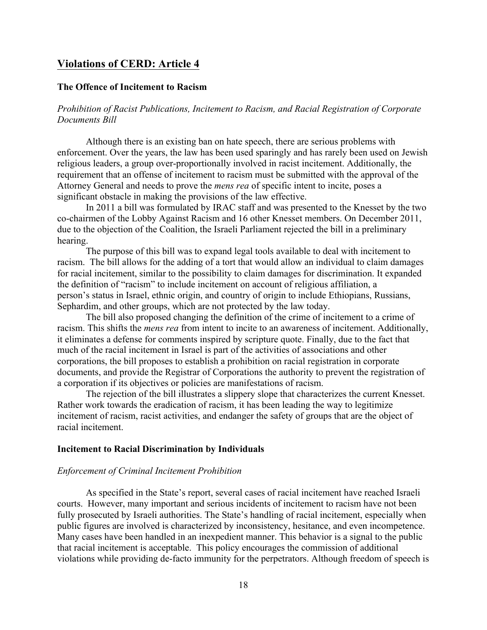## **Violations of CERD: Article 4**

#### **The Offence of Incitement to Racism**

*Prohibition of Racist Publications, Incitement to Racism, and Racial Registration of Corporate Documents Bill*

Although there is an existing ban on hate speech, there are serious problems with enforcement. Over the years, the law has been used sparingly and has rarely been used on Jewish religious leaders, a group over-proportionally involved in racist incitement. Additionally, the requirement that an offense of incitement to racism must be submitted with the approval of the Attorney General and needs to prove the *mens rea* of specific intent to incite, poses a significant obstacle in making the provisions of the law effective.

In 2011 a bill was formulated by IRAC staff and was presented to the Knesset by the two co-chairmen of the Lobby Against Racism and 16 other Knesset members. On December 2011, due to the objection of the Coalition, the Israeli Parliament rejected the bill in a preliminary hearing.

The purpose of this bill was to expand legal tools available to deal with incitement to racism. The bill allows for the adding of a tort that would allow an individual to claim damages for racial incitement, similar to the possibility to claim damages for discrimination. It expanded the definition of "racism" to include incitement on account of religious affiliation, a person's status in Israel, ethnic origin, and country of origin to include Ethiopians, Russians, Sephardim, and other groups, which are not protected by the law today.

The bill also proposed changing the definition of the crime of incitement to a crime of racism. This shifts the *mens rea* from intent to incite to an awareness of incitement. Additionally, it eliminates a defense for comments inspired by scripture quote. Finally, due to the fact that much of the racial incitement in Israel is part of the activities of associations and other corporations, the bill proposes to establish a prohibition on racial registration in corporate documents, and provide the Registrar of Corporations the authority to prevent the registration of a corporation if its objectives or policies are manifestations of racism.

The rejection of the bill illustrates a slippery slope that characterizes the current Knesset. Rather work towards the eradication of racism, it has been leading the way to legitimize incitement of racism, racist activities, and endanger the safety of groups that are the object of racial incitement.

#### **Incitement to Racial Discrimination by Individuals**

#### *Enforcement of Criminal Incitement Prohibition*

As specified in the State's report, several cases of racial incitement have reached Israeli courts. However, many important and serious incidents of incitement to racism have not been fully prosecuted by Israeli authorities. The State's handling of racial incitement, especially when public figures are involved is characterized by inconsistency, hesitance, and even incompetence. Many cases have been handled in an inexpedient manner. This behavior is a signal to the public that racial incitement is acceptable. This policy encourages the commission of additional violations while providing de-facto immunity for the perpetrators. Although freedom of speech is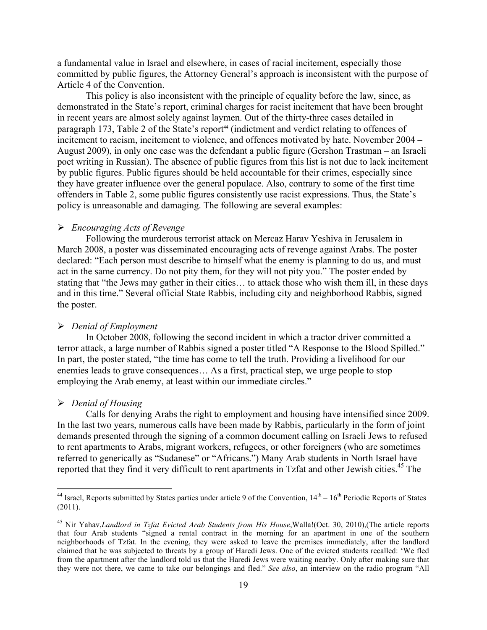a fundamental value in Israel and elsewhere, in cases of racial incitement, especially those committed by public figures, the Attorney General's approach is inconsistent with the purpose of Article 4 of the Convention.

This policy is also inconsistent with the principle of equality before the law, since, as demonstrated in the State's report, criminal charges for racist incitement that have been brought in recent years are almost solely against laymen. Out of the thirty-three cases detailed in paragraph 173, Table 2 of the State's report<sup>44</sup> (indictment and verdict relating to offences of incitement to racism, incitement to violence, and offences motivated by hate. November 2004 – August 2009), in only one case was the defendant a public figure (Gershon Trastman – an Israeli poet writing in Russian). The absence of public figures from this list is not due to lack incitement by public figures. Public figures should be held accountable for their crimes, especially since they have greater influence over the general populace. Also, contrary to some of the first time offenders in Table 2, some public figures consistently use racist expressions. Thus, the State's policy is unreasonable and damaging. The following are several examples:

#### ! *Encouraging Acts of Revenge*

Following the murderous terrorist attack on Mercaz Harav Yeshiva in Jerusalem in March 2008, a poster was disseminated encouraging acts of revenge against Arabs. The poster declared: "Each person must describe to himself what the enemy is planning to do us, and must act in the same currency. Do not pity them, for they will not pity you." The poster ended by stating that "the Jews may gather in their cities… to attack those who wish them ill, in these days and in this time." Several official State Rabbis, including city and neighborhood Rabbis, signed the poster.

#### ! *Denial of Employment*

In October 2008, following the second incident in which a tractor driver committed a terror attack, a large number of Rabbis signed a poster titled "A Response to the Blood Spilled." In part, the poster stated, "the time has come to tell the truth. Providing a livelihood for our enemies leads to grave consequences… As a first, practical step, we urge people to stop employing the Arab enemy, at least within our immediate circles."

#### ! *Denial of Housing*

!!!!!!!!!!!!!!!!!!!!!!!!!!!!!!!!!!!!!!!!!!!!!!!!!!!!!!!!!!!!

Calls for denying Arabs the right to employment and housing have intensified since 2009. In the last two years, numerous calls have been made by Rabbis, particularly in the form of joint demands presented through the signing of a common document calling on Israeli Jews to refused to rent apartments to Arabs, migrant workers, refugees, or other foreigners (who are sometimes referred to generically as "Sudanese" or "Africans.") Many Arab students in North Israel have reported that they find it very difficult to rent apartments in Tzfat and other Jewish cities.<sup>45</sup> The

<sup>&</sup>lt;sup>44</sup> Israel, Reports submitted by States parties under article 9 of the Convention,  $14<sup>th</sup> - 16<sup>th</sup>$  Periodic Reports of States  $(2011).$ 

<sup>45</sup> Nir Yahav,*Landlord in Tzfat Evicted Arab Students from His House*,Walla!(Oct. 30, 2010),(The article reports that four Arab students "signed a rental contract in the morning for an apartment in one of the southern neighborhoods of Tzfat. In the evening, they were asked to leave the premises immediately, after the landlord claimed that he was subjected to threats by a group of Haredi Jews. One of the evicted students recalled: 'We fled from the apartment after the landlord told us that the Haredi Jews were waiting nearby. Only after making sure that they were not there, we came to take our belongings and fled." *See also*, an interview on the radio program "All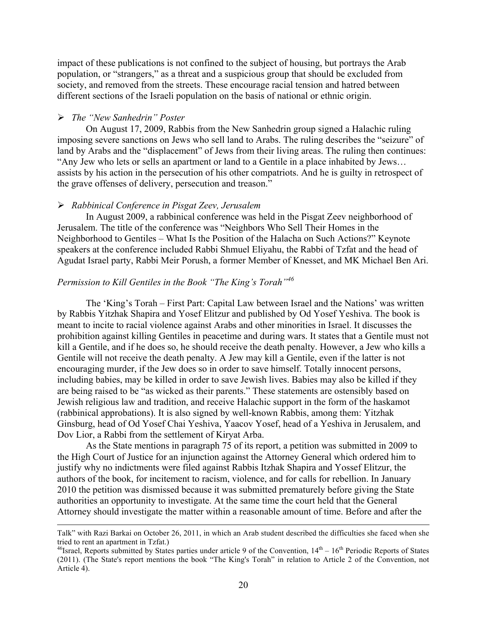impact of these publications is not confined to the subject of housing, but portrays the Arab population, or "strangers," as a threat and a suspicious group that should be excluded from society, and removed from the streets. These encourage racial tension and hatred between different sections of the Israeli population on the basis of national or ethnic origin.

#### ! *The "New Sanhedrin" Poster*

On August 17, 2009, Rabbis from the New Sanhedrin group signed a Halachic ruling imposing severe sanctions on Jews who sell land to Arabs. The ruling describes the "seizure" of land by Arabs and the "displacement" of Jews from their living areas. The ruling then continues: "Any Jew who lets or sells an apartment or land to a Gentile in a place inhabited by Jews… assists by his action in the persecution of his other compatriots. And he is guilty in retrospect of the grave offenses of delivery, persecution and treason."

#### ! *Rabbinical Conference in Pisgat Zeev, Jerusalem*

In August 2009, a rabbinical conference was held in the Pisgat Zeev neighborhood of Jerusalem. The title of the conference was "Neighbors Who Sell Their Homes in the Neighborhood to Gentiles – What Is the Position of the Halacha on Such Actions?" Keynote speakers at the conference included Rabbi Shmuel Eliyahu, the Rabbi of Tzfat and the head of Agudat Israel party, Rabbi Meir Porush, a former Member of Knesset, and MK Michael Ben Ari.

## *Permission to Kill Gentiles in the Book "The King's Torah"<sup>46</sup>*

The 'King's Torah – First Part: Capital Law between Israel and the Nations' was written by Rabbis Yitzhak Shapira and Yosef Elitzur and published by Od Yosef Yeshiva. The book is meant to incite to racial violence against Arabs and other minorities in Israel. It discusses the prohibition against killing Gentiles in peacetime and during wars. It states that a Gentile must not kill a Gentile, and if he does so, he should receive the death penalty. However, a Jew who kills a Gentile will not receive the death penalty. A Jew may kill a Gentile, even if the latter is not encouraging murder, if the Jew does so in order to save himself. Totally innocent persons, including babies, may be killed in order to save Jewish lives. Babies may also be killed if they are being raised to be "as wicked as their parents." These statements are ostensibly based on Jewish religious law and tradition, and receive Halachic support in the form of the haskamot (rabbinical approbations). It is also signed by well-known Rabbis, among them: Yitzhak Ginsburg, head of Od Yosef Chai Yeshiva, Yaacov Yosef, head of a Yeshiva in Jerusalem, and Dov Lior, a Rabbi from the settlement of Kiryat Arba.

As the State mentions in paragraph 75 of its report, a petition was submitted in 2009 to the High Court of Justice for an injunction against the Attorney General which ordered him to justify why no indictments were filed against Rabbis Itzhak Shapira and Yossef Elitzur, the authors of the book, for incitement to racism, violence, and for calls for rebellion. In January 2010 the petition was dismissed because it was submitted prematurely before giving the State authorities an opportunity to investigate. At the same time the court held that the General Attorney should investigate the matter within a reasonable amount of time. Before and after the

<sup>!!!!!!!!!!!!!!!!!!!!!!!!!!!!!!!!!!!!!!!!!!!!!!!!!!!!!!!!!!!!!!!!!!!!!!!!!!!!!!!!!!!!!!!!!!!!!!!!!!!!!!!!!!!!!!!!!!!!!!!!!!!!!!!!!!!!!!!!!!!!!!!!!!!!!!!!!!!!!!!!!!!!!!!!!!!!!!!!!!!!!!!!!!!!!!!!!!!</sup> Talk" with Razi Barkai on October 26, 2011, in which an Arab student described the difficulties she faced when she tried to rent an apartment in Tzfat.)<br><sup>46</sup>Israel, Reports submitted by States parties under article 9 of the Convention,  $14<sup>th</sup> - 16<sup>th</sup>$  Periodic Reports of States

<sup>(2011). (</sup>The State's report mentions the book "The King's Torah" in relation to Article 2 of the Convention, not Article 4).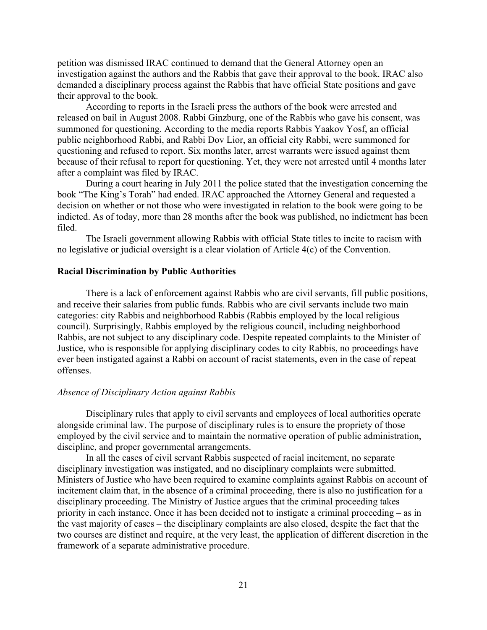petition was dismissed IRAC continued to demand that the General Attorney open an investigation against the authors and the Rabbis that gave their approval to the book. IRAC also demanded a disciplinary process against the Rabbis that have official State positions and gave their approval to the book.

According to reports in the Israeli press the authors of the book were arrested and released on bail in August 2008. Rabbi Ginzburg, one of the Rabbis who gave his consent, was summoned for questioning. According to the media reports Rabbis Yaakov Yosf, an official public neighborhood Rabbi, and Rabbi Dov Lior, an official city Rabbi, were summoned for questioning and refused to report. Six months later, arrest warrants were issued against them because of their refusal to report for questioning. Yet, they were not arrested until 4 months later after a complaint was filed by IRAC.

During a court hearing in July 2011 the police stated that the investigation concerning the book "The King's Torah" had ended. IRAC approached the Attorney General and requested a decision on whether or not those who were investigated in relation to the book were going to be indicted. As of today, more than 28 months after the book was published, no indictment has been filed.

The Israeli government allowing Rabbis with official State titles to incite to racism with no legislative or judicial oversight is a clear violation of Article 4(c) of the Convention.

#### **Racial Discrimination by Public Authorities**

There is a lack of enforcement against Rabbis who are civil servants, fill public positions, and receive their salaries from public funds. Rabbis who are civil servants include two main categories: city Rabbis and neighborhood Rabbis (Rabbis employed by the local religious council). Surprisingly, Rabbis employed by the religious council, including neighborhood Rabbis, are not subject to any disciplinary code. Despite repeated complaints to the Minister of Justice, who is responsible for applying disciplinary codes to city Rabbis, no proceedings have ever been instigated against a Rabbi on account of racist statements, even in the case of repeat offenses.

#### *Absence of Disciplinary Action against Rabbis*

Disciplinary rules that apply to civil servants and employees of local authorities operate alongside criminal law. The purpose of disciplinary rules is to ensure the propriety of those employed by the civil service and to maintain the normative operation of public administration, discipline, and proper governmental arrangements.

In all the cases of civil servant Rabbis suspected of racial incitement, no separate disciplinary investigation was instigated, and no disciplinary complaints were submitted. Ministers of Justice who have been required to examine complaints against Rabbis on account of incitement claim that, in the absence of a criminal proceeding, there is also no justification for a disciplinary proceeding. The Ministry of Justice argues that the criminal proceeding takes priority in each instance. Once it has been decided not to instigate a criminal proceeding – as in the vast majority of cases – the disciplinary complaints are also closed, despite the fact that the two courses are distinct and require, at the very least, the application of different discretion in the framework of a separate administrative procedure.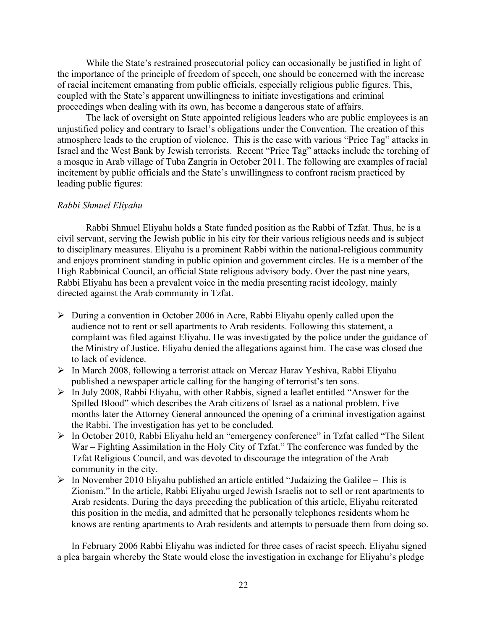While the State's restrained prosecutorial policy can occasionally be justified in light of the importance of the principle of freedom of speech, one should be concerned with the increase of racial incitement emanating from public officials, especially religious public figures. This, coupled with the State's apparent unwillingness to initiate investigations and criminal proceedings when dealing with its own, has become a dangerous state of affairs.

The lack of oversight on State appointed religious leaders who are public employees is an unjustified policy and contrary to Israel's obligations under the Convention. The creation of this atmosphere leads to the eruption of violence. This is the case with various "Price Tag" attacks in Israel and the West Bank by Jewish terrorists. Recent "Price Tag" attacks include the torching of a mosque in Arab village of Tuba Zangria in October 2011. The following are examples of racial incitement by public officials and the State's unwillingness to confront racism practiced by leading public figures:

#### *Rabbi Shmuel Eliyahu*

Rabbi Shmuel Eliyahu holds a State funded position as the Rabbi of Tzfat. Thus, he is a civil servant, serving the Jewish public in his city for their various religious needs and is subject to disciplinary measures. Eliyahu is a prominent Rabbi within the national-religious community and enjoys prominent standing in public opinion and government circles. He is a member of the High Rabbinical Council, an official State religious advisory body. Over the past nine years, Rabbi Eliyahu has been a prevalent voice in the media presenting racist ideology, mainly directed against the Arab community in Tzfat.

- $\triangleright$  During a convention in October 2006 in Acre, Rabbi Eliyahu openly called upon the audience not to rent or sell apartments to Arab residents. Following this statement, a complaint was filed against Eliyahu. He was investigated by the police under the guidance of the Ministry of Justice. Eliyahu denied the allegations against him. The case was closed due to lack of evidence.
- ! In March 2008, following a terrorist attack on Mercaz Harav Yeshiva, Rabbi Eliyahu published a newspaper article calling for the hanging of terrorist's ten sons.
- ! In July 2008, Rabbi Eliyahu, with other Rabbis, signed a leaflet entitled "Answer for the Spilled Blood" which describes the Arab citizens of Israel as a national problem. Five months later the Attorney General announced the opening of a criminal investigation against the Rabbi. The investigation has yet to be concluded.
- ! In October 2010, Rabbi Eliyahu held an "emergency conference" in Tzfat called "The Silent War – Fighting Assimilation in the Holy City of Tzfat." The conference was funded by the Tzfat Religious Council, and was devoted to discourage the integration of the Arab community in the city.
- $\triangleright$  In November 2010 Eliyahu published an article entitled "Judaizing the Galilee This is Zionism." In the article, Rabbi Eliyahu urged Jewish Israelis not to sell or rent apartments to Arab residents. During the days preceding the publication of this article, Eliyahu reiterated this position in the media, and admitted that he personally telephones residents whom he knows are renting apartments to Arab residents and attempts to persuade them from doing so.

In February 2006 Rabbi Eliyahu was indicted for three cases of racist speech. Eliyahu signed a plea bargain whereby the State would close the investigation in exchange for Eliyahu's pledge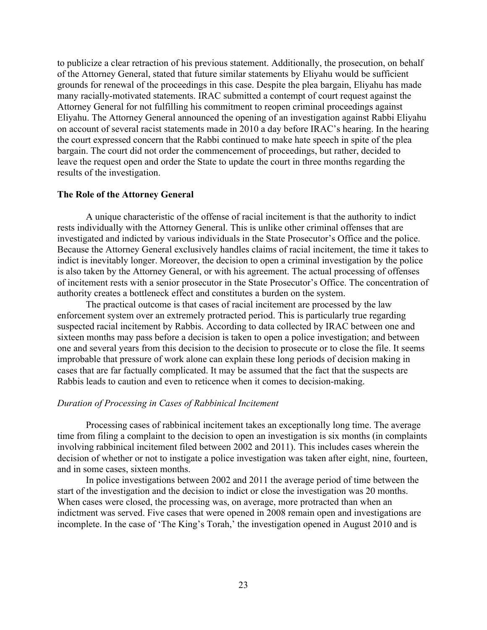to publicize a clear retraction of his previous statement. Additionally, the prosecution, on behalf of the Attorney General, stated that future similar statements by Eliyahu would be sufficient grounds for renewal of the proceedings in this case. Despite the plea bargain, Eliyahu has made many racially-motivated statements. IRAC submitted a contempt of court request against the Attorney General for not fulfilling his commitment to reopen criminal proceedings against Eliyahu. The Attorney General announced the opening of an investigation against Rabbi Eliyahu on account of several racist statements made in 2010 a day before IRAC's hearing. In the hearing the court expressed concern that the Rabbi continued to make hate speech in spite of the plea bargain. The court did not order the commencement of proceedings, but rather, decided to leave the request open and order the State to update the court in three months regarding the results of the investigation.

#### **The Role of the Attorney General**

A unique characteristic of the offense of racial incitement is that the authority to indict rests individually with the Attorney General. This is unlike other criminal offenses that are investigated and indicted by various individuals in the State Prosecutor's Office and the police. Because the Attorney General exclusively handles claims of racial incitement, the time it takes to indict is inevitably longer. Moreover, the decision to open a criminal investigation by the police is also taken by the Attorney General, or with his agreement. The actual processing of offenses of incitement rests with a senior prosecutor in the State Prosecutor's Office. The concentration of authority creates a bottleneck effect and constitutes a burden on the system.

The practical outcome is that cases of racial incitement are processed by the law enforcement system over an extremely protracted period. This is particularly true regarding suspected racial incitement by Rabbis. According to data collected by IRAC between one and sixteen months may pass before a decision is taken to open a police investigation; and between one and several years from this decision to the decision to prosecute or to close the file. It seems improbable that pressure of work alone can explain these long periods of decision making in cases that are far factually complicated. It may be assumed that the fact that the suspects are Rabbis leads to caution and even to reticence when it comes to decision-making.

#### *Duration of Processing in Cases of Rabbinical Incitement*

Processing cases of rabbinical incitement takes an exceptionally long time. The average time from filing a complaint to the decision to open an investigation is six months (in complaints involving rabbinical incitement filed between 2002 and 2011). This includes cases wherein the decision of whether or not to instigate a police investigation was taken after eight, nine, fourteen, and in some cases, sixteen months.

In police investigations between 2002 and 2011 the average period of time between the start of the investigation and the decision to indict or close the investigation was 20 months. When cases were closed, the processing was, on average, more protracted than when an indictment was served. Five cases that were opened in 2008 remain open and investigations are incomplete. In the case of 'The King's Torah,' the investigation opened in August 2010 and is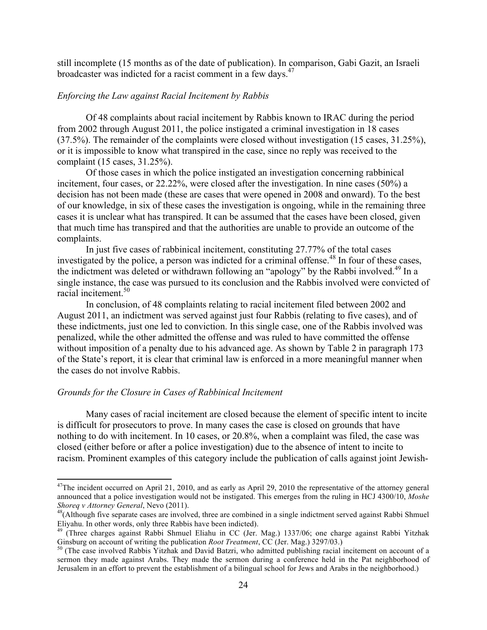still incomplete (15 months as of the date of publication). In comparison, Gabi Gazit, an Israeli broadcaster was indicted for a racist comment in a few days.<sup>47</sup>

#### *Enforcing the Law against Racial Incitement by Rabbis*

Of 48 complaints about racial incitement by Rabbis known to IRAC during the period from 2002 through August 2011, the police instigated a criminal investigation in 18 cases (37.5%). The remainder of the complaints were closed without investigation (15 cases, 31.25%), or it is impossible to know what transpired in the case, since no reply was received to the complaint (15 cases, 31.25%).

Of those cases in which the police instigated an investigation concerning rabbinical incitement, four cases, or 22.22%, were closed after the investigation. In nine cases (50%) a decision has not been made (these are cases that were opened in 2008 and onward). To the best of our knowledge, in six of these cases the investigation is ongoing, while in the remaining three cases it is unclear what has transpired. It can be assumed that the cases have been closed, given that much time has transpired and that the authorities are unable to provide an outcome of the complaints.

In just five cases of rabbinical incitement, constituting 27.77% of the total cases investigated by the police, a person was indicted for a criminal offense.<sup>48</sup> In four of these cases, the indictment was deleted or withdrawn following an "apology" by the Rabbi involved.<sup>49</sup> In a single instance, the case was pursued to its conclusion and the Rabbis involved were convicted of racial incitement.<sup>50</sup>

In conclusion, of 48 complaints relating to racial incitement filed between 2002 and August 2011, an indictment was served against just four Rabbis (relating to five cases), and of these indictments, just one led to conviction. In this single case, one of the Rabbis involved was penalized, while the other admitted the offense and was ruled to have committed the offense without imposition of a penalty due to his advanced age. As shown by Table 2 in paragraph 173 of the State's report, it is clear that criminal law is enforced in a more meaningful manner when the cases do not involve Rabbis.

#### *Grounds for the Closure in Cases of Rabbinical Incitement*

Many cases of racial incitement are closed because the element of specific intent to incite is difficult for prosecutors to prove. In many cases the case is closed on grounds that have nothing to do with incitement. In 10 cases, or 20.8%, when a complaint was filed, the case was closed (either before or after a police investigation) due to the absence of intent to incite to racism. Prominent examples of this category include the publication of calls against joint Jewish-

<sup>&</sup>lt;sup>47</sup>The incident occurred on April 21, 2010, and as early as April 29, 2010 the representative of the attorney general announced that a police investigation would not be instigated. This emerges from the ruling in HCJ 4300/10, *Moshe Shoreq v Attorney General*, Nevo (2011).<br><sup>48</sup>(Although five separate cases are involved, three are combined in a single indictment served against Rabbi Shmuel

Eliyahu. In other words, only three Rabbis have been indicted).<br><sup>49</sup> (Three charges against Rabbi Shmuel Eliahu in CC (Jer. Mag.) 1337/06; one charge against Rabbi Yitzhak

Ginsburg on account of writing the publication *Root Treatment*, CC (Jer. Mag.) 3297/03.)<br><sup>50</sup> (The case involved Rabbis Yitzhak and David Batzri, who admitted publishing racial incitement on account of a

sermon they made against Arabs. They made the sermon during a conference held in the Pat neighborhood of Jerusalem in an effort to prevent the establishment of a bilingual school for Jews and Arabs in the neighborhood.)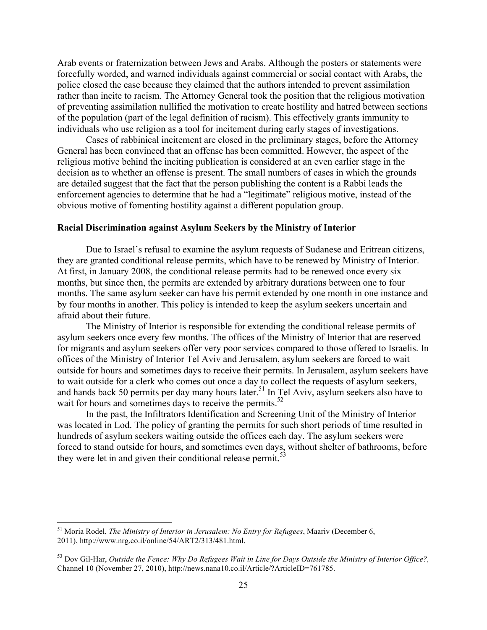Arab events or fraternization between Jews and Arabs. Although the posters or statements were forcefully worded, and warned individuals against commercial or social contact with Arabs, the police closed the case because they claimed that the authors intended to prevent assimilation rather than incite to racism. The Attorney General took the position that the religious motivation of preventing assimilation nullified the motivation to create hostility and hatred between sections of the population (part of the legal definition of racism). This effectively grants immunity to individuals who use religion as a tool for incitement during early stages of investigations.

Cases of rabbinical incitement are closed in the preliminary stages, before the Attorney General has been convinced that an offense has been committed. However, the aspect of the religious motive behind the inciting publication is considered at an even earlier stage in the decision as to whether an offense is present. The small numbers of cases in which the grounds are detailed suggest that the fact that the person publishing the content is a Rabbi leads the enforcement agencies to determine that he had a "legitimate" religious motive, instead of the obvious motive of fomenting hostility against a different population group.

#### **Racial Discrimination against Asylum Seekers by the Ministry of Interior**

Due to Israel's refusal to examine the asylum requests of Sudanese and Eritrean citizens, they are granted conditional release permits, which have to be renewed by Ministry of Interior. At first, in January 2008, the conditional release permits had to be renewed once every six months, but since then, the permits are extended by arbitrary durations between one to four months. The same asylum seeker can have his permit extended by one month in one instance and by four months in another. This policy is intended to keep the asylum seekers uncertain and afraid about their future.

The Ministry of Interior is responsible for extending the conditional release permits of asylum seekers once every few months. The offices of the Ministry of Interior that are reserved for migrants and asylum seekers offer very poor services compared to those offered to Israelis. In offices of the Ministry of Interior Tel Aviv and Jerusalem, asylum seekers are forced to wait outside for hours and sometimes days to receive their permits. In Jerusalem, asylum seekers have to wait outside for a clerk who comes out once a day to collect the requests of asylum seekers, and hands back 50 permits per day many hours later.<sup>51</sup> In Tel Aviv, asylum seekers also have to wait for hours and sometimes days to receive the permits.<sup>52</sup>

In the past, the Infiltrators Identification and Screening Unit of the Ministry of Interior was located in Lod. The policy of granting the permits for such short periods of time resulted in hundreds of asylum seekers waiting outside the offices each day. The asylum seekers were forced to stand outside for hours, and sometimes even days, without shelter of bathrooms, before they were let in and given their conditional release permit.<sup>53</sup>

<sup>51</sup> Moria Rodel, *The Ministry of Interior in Jerusalem: No Entry for Refugees*, Maariv (December 6, 2011), http://www.nrg.co.il/online/54/ART2/313/481.html.

<sup>53</sup> Dov Gil-Har, *Outside the Fence: Why Do Refugees Wait in Line for Days Outside the Ministry of Interior Office?,* Channel 10 (November 27, 2010), http://news.nana10.co.il/Article/?ArticleID=761785.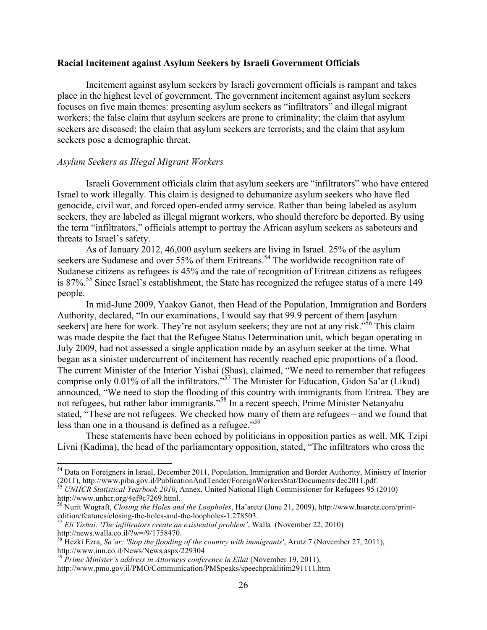#### **Racial Incitement against Asylum Seekers by Israeli Government Officials**

Incitement against asylum seekers by Israeli government officials is rampant and takes place in the highest level of government. The government incitement against asylum seekers focuses on five main themes: presenting asylum seekers as "infiltrators" and illegal migrant workers; the false claim that asylum seekers are prone to criminality; the claim that asylum seekers are diseased; the claim that asylum seekers are terrorists; and the claim that asylum seekers pose a demographic threat.

#### *Asylum Seekers as Illegal Migrant Workers*

Israeli Government officials claim that asylum seekers are "infiltrators" who have entered Israel to work illegally. This claim is designed to dehumanize asylum seekers who have fled genocide, civil war, and forced open-ended army service. Rather than being labeled as asylum seekers, they are labeled as illegal migrant workers, who should therefore be deported. By using the term "infiltrators," officials attempt to portray the African asylum seekers as saboteurs and threats to Israel's safety.

As of January 2012, 46,000 asylum seekers are living in Israel. 25% of the asylum seekers are Sudanese and over 55% of them Eritreans.<sup>54</sup> The worldwide recognition rate of Sudanese citizens as refugees is 45% and the rate of recognition of Eritrean citizens as refugees is 87%.<sup>55</sup> Since Israel's establishment, the State has recognized the refugee status of a mere 149 people.

In mid-June 2009, Yaakov Ganot, then Head of the Population, Immigration and Borders Authority, declared, "In our examinations, I would say that 99.9 percent of them [asylum seekers] are here for work. They're not asylum seekers; they are not at any risk."<sup>56</sup> This claim was made despite the fact that the Refugee Status Determination unit, which began operating in July 2009, had not assessed a single application made by an asylum seeker at the time. What began as a sinister undercurrent of incitement has recently reached epic proportions of a flood. The current Minister of the Interior Yishai (Shas), claimed, "We need to remember that refugees comprise only 0.01% of all the infiltrators.<sup>557</sup> The Minister for Education, Gidon Sa'ar (Likud) announced, "We need to stop the flooding of this country with immigrants from Eritrea. They are not refugees, but rather labor immigrants."<sup>58</sup> In a recent speech, Prime Minister Netanyahu stated, "These are not refugees. We checked how many of them are refugees – and we found that less than one in a thousand is defined as a refugee."<sup>59</sup>

These statements have been echoed by politicians in opposition parties as well. MK Tzipi Livni (Kadima), the head of the parliamentary opposition, stated, "The infiltrators who cross the

 $54$  Data on Foreigners in Israel, December 2011, Population, Immigration and Border Authority, Ministry of Interior (2011), http://www.piba.gov.il/PublicationAndTender/ForeignWorkersStat/Documents/dec2011.pdf. <sup>55</sup> *UNHCR Statistical Yearbook 2010*, Annex. United National High Commissioner for Refugees 95 (2010)

http://www.unhcr.org/4ef9c7269.html.<br><sup>56</sup> Nurit Wugraft, *Closing the Holes and the Loopholes*, Ha'aretz (June 21, 2009), http://www.haaretz.com/print-

edition/features/closing-the-holes-and-the-loopholes-1.278503.<br><sup>57</sup> *Eli Yishai: 'The infiltrators create an existential problem'*, Walla (November 22, 2010) http://news.walla.co.il/?w=/9/1758470.

<sup>&</sup>lt;sup>58</sup> Hezki Ezra, *Sa'ar: 'Stop the flooding of the country with immigrants'*, Arutz 7 (November 27, 2011), http://www.inn.co.il/News/News.aspx/229304

<sup>59</sup> *Prime Minister's address in Attorneys conference in Eilat* (November 19, 2011),

http://www.pmo.gov.il/PMO/Communication/PMSpeaks/speechpraklitim291111.htm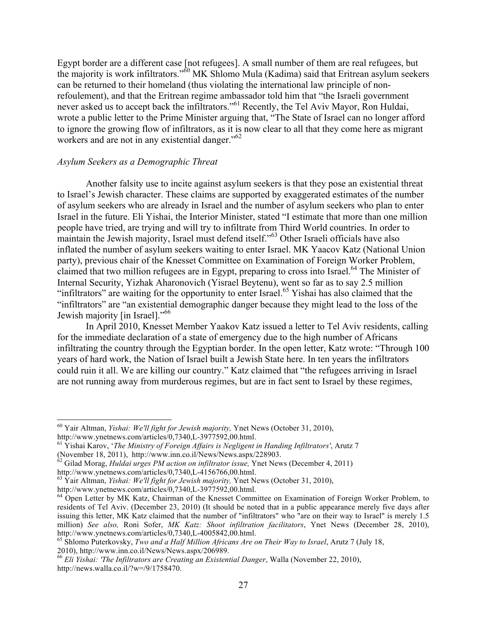Egypt border are a different case [not refugees]. A small number of them are real refugees, but the majority is work infiltrators." <sup>60</sup> MK Shlomo Mula (Kadima) said that Eritrean asylum seekers can be returned to their homeland (thus violating the international law principle of nonrefoulement), and that the Eritrean regime ambassador told him that "the Israeli government never asked us to accept back the infiltrators."<sup>61</sup> Recently, the Tel Aviv Mayor, Ron Huldai, wrote a public letter to the Prime Minister arguing that, "The State of Israel can no longer afford to ignore the growing flow of infiltrators, as it is now clear to all that they come here as migrant workers and are not in any existential danger."<sup>62</sup>

#### *Asylum Seekers as a Demographic Threat*

Another falsity use to incite against asylum seekers is that they pose an existential threat to Israel's Jewish character. These claims are supported by exaggerated estimates of the number of asylum seekers who are already in Israel and the number of asylum seekers who plan to enter Israel in the future. Eli Yishai, the Interior Minister, stated "I estimate that more than one million people have tried, are trying and will try to infiltrate from Third World countries. In order to maintain the Jewish majority, Israel must defend itself." <sup>63</sup> Other Israeli officials have also inflated the number of asylum seekers waiting to enter Israel. MK Yaacov Katz (National Union party), previous chair of the Knesset Committee on Examination of Foreign Worker Problem, claimed that two million refugees are in Egypt, preparing to cross into Israel.<sup>64</sup> The Minister of Internal Security, Yizhak Aharonovich (Yisrael Beytenu), went so far as to say 2.5 million "infiltrators" are waiting for the opportunity to enter Israel.<sup>65</sup> Yishai has also claimed that the "infiltrators" are "an existential demographic danger because they might lead to the loss of the Jewish majority [in Israel]."<sup>66</sup>

In April 2010, Knesset Member Yaakov Katz issued a letter to Tel Aviv residents, calling for the immediate declaration of a state of emergency due to the high number of Africans infiltrating the country through the Egyptian border. In the open letter, Katz wrote: "Through 100 years of hard work, the Nation of Israel built a Jewish State here. In ten years the infiltrators could ruin it all. We are killing our country." Katz claimed that "the refugees arriving in Israel are not running away from murderous regimes, but are in fact sent to Israel by these regimes,

<sup>&</sup>lt;sup>60</sup> Yair Altman, *Yishai: We'll fight for Jewish majority*, Ynet News (October 31, 2010),

http://www.ynetnews.com/articles/0,7340,L-3977592,00.html. <sup>61</sup> Yishai Karov, '*The Ministry of Foreign Affairs is Negligent in Handing Infiltrators'*, Arutz 7

<sup>(</sup>November 18, 2011), http://www.inn.co.il/News/News.aspx/228903.<br><sup>62</sup> Gilad Morag, *Huldai urges PM action on infiltrator issue*, Ynet News (December 4, 2011)<br>http://www.ynetnews.com/articles/0,7340,L-4156766,00.html.

<sup>&</sup>lt;sup>63</sup> Yair Altman, *Yishai: We'll fight for Jewish majority*, Ynet News (October 31, 2010),

http://www.ynetnews.com/articles/0,7340,L-3977592,00.html.<br><sup>64</sup> Open Letter by MK Katz, Chairman of the Knesset Committee on Examination of Foreign Worker Problem, to residents of Tel Aviv. (December 23, 2010) (It should be noted that in a public appearance merely five days after issuing this letter, MK Katz claimed that the number of "infiltrators" who "are on their way to Israel" is merely 1.5 million) *See also*, Roni Sofer, *MK Katz: Shoot infiltration facilitators*, Ynet News (December 28, 2010), http://www.ynetnews.com/articles/0,7340,L-4005842,00.html.

<sup>&</sup>lt;sup>65</sup> Shlomo Puterkovsky, *Two and a Half Million Africans Are on Their Way to Israel*, Arutz 7 (July 18, 2010), http://www.inn.co.il/News/News.aspx/206989. <sup>66</sup> *Eli Yishai: 'The Infiltrators are Creating an Existential Danger*, Walla (November 22, 2010),

http://news.walla.co.il/?w=/9/1758470.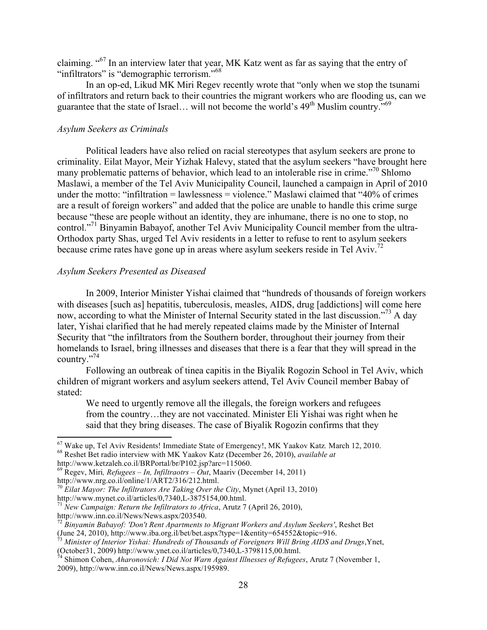claiming. "67 In an interview later that year, MK Katz went as far as saying that the entry of "infiltrators" is "demographic terrorism."<sup>68</sup>

In an op-ed, Likud MK Miri Regev recently wrote that "only when we stop the tsunami of infiltrators and return back to their countries the migrant workers who are flooding us, can we guarantee that the state of Israel... will not become the world's  $49<sup>th</sup>$  Muslim country.<sup>569</sup>

#### *Asylum Seekers as Criminals*

Political leaders have also relied on racial stereotypes that asylum seekers are prone to criminality. Eilat Mayor, Meir Yizhak Halevy, stated that the asylum seekers "have brought here many problematic patterns of behavior, which lead to an intolerable rise in crime."70 Shlomo Maslawi, a member of the Tel Aviv Municipality Council, launched a campaign in April of 2010 under the motto: "infiltration = lawlessness = violence." Maslawi claimed that "40% of crimes" are a result of foreign workers" and added that the police are unable to handle this crime surge because "these are people without an identity, they are inhumane, there is no one to stop, no control."<sup>71</sup> Binyamin Babayof, another Tel Aviv Municipality Council member from the ultra-Orthodox party Shas, urged Tel Aviv residents in a letter to refuse to rent to asylum seekers because crime rates have gone up in areas where asylum seekers reside in Tel Aviv.<sup>72</sup>

#### *Asylum Seekers Presented as Diseased*

In 2009, Interior Minister Yishai claimed that "hundreds of thousands of foreign workers with diseases [such as] hepatitis, tuberculosis, measles, AIDS, drug [addictions] will come here now, according to what the Minister of Internal Security stated in the last discussion."<sup>73</sup> A day later, Yishai clarified that he had merely repeated claims made by the Minister of Internal Security that "the infiltrators from the Southern border, throughout their journey from their homelands to Israel, bring illnesses and diseases that there is a fear that they will spread in the country."74

Following an outbreak of tinea capitis in the Biyalik Rogozin School in Tel Aviv, which children of migrant workers and asylum seekers attend, Tel Aviv Council member Babay of stated:

We need to urgently remove all the illegals, the foreign workers and refugees from the country…they are not vaccinated. Minister Eli Yishai was right when he said that they bring diseases. The case of Biyalik Rogozin confirms that they

 $^{67}$  Wake up, Tel Aviv Residents! Immediate State of Emergency!, MK Yaakov Katz. March 12, 2010.<br><sup>68</sup> Reshet Bet radio interview with MK Yaakov Katz (December 26, 2010), *available at* 

http://www.ketzaleh.co.il/BRPortal/br/P102.jsp?arc=115060.<br><sup>69</sup> Regev, Miri, *Refugees – In, Infiltraotrs – Out*, Maariv (December 14, 2011) http://www.nrg.co.il/online/1/ART2/316/212.html.

<sup>&</sup>lt;sup>70</sup> Eilat Mayor: The Infiltrators Are Taking Over the City, Mynet (April 13, 2010)

http://www.mynet.co.il/articles/0,7340,L-3875154,00.html. <sup>71</sup> *New Campaign: Return the Infiltrators to Africa*, Arutz 7 (April 26, 2010),

http://www.inn.co.il/News/News.aspx/203540. <sup>72</sup> *Binyamin Babayof: 'Don't Rent Apartments to Migrant Workers and Asylum Seekers'*, Reshet Bet (June 24, 2010), http://www.iba.org.il/bet/bet.aspx?type=1&entity=654552&topic=916. <sup>73</sup> *Minister of Interior Yishai: Hundreds of Thousands of Foreigners Will Bring AIDS and Drugs*,Ynet,

<sup>(</sup>October31, 2009) http://www.ynet.co.il/articles/0,7340,L-3798115,00.html. <sup>74</sup> Shimon Cohen, *Aharonovich: I Did Not Warn Against Illnesses of Refugees*, Arutz 7 (November 1,

<sup>2009),</sup> http://www.inn.co.il/News/News.aspx/195989.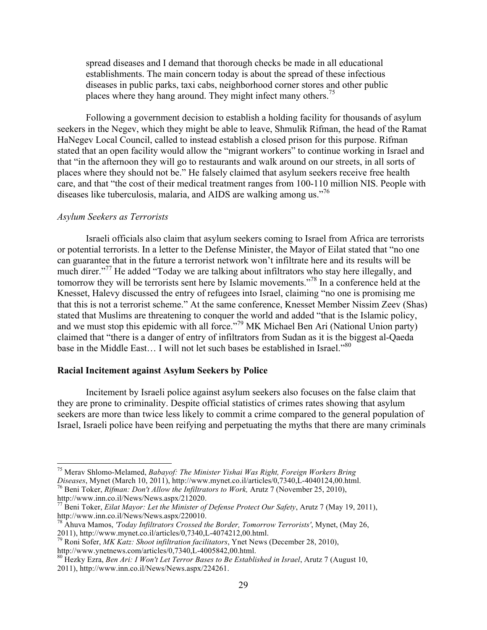spread diseases and I demand that thorough checks be made in all educational establishments. The main concern today is about the spread of these infectious diseases in public parks, taxi cabs, neighborhood corner stores and other public places where they hang around. They might infect many others.<sup>75</sup>

Following a government decision to establish a holding facility for thousands of asylum seekers in the Negev, which they might be able to leave, Shmulik Rifman, the head of the Ramat HaNegev Local Council, called to instead establish a closed prison for this purpose. Rifman stated that an open facility would allow the "migrant workers" to continue working in Israel and that "in the afternoon they will go to restaurants and walk around on our streets, in all sorts of places where they should not be." He falsely claimed that asylum seekers receive free health care, and that "the cost of their medical treatment ranges from 100-110 million NIS. People with diseases like tuberculosis, malaria, and AIDS are walking among us.<sup>776</sup>

#### *Asylum Seekers as Terrorists*

Israeli officials also claim that asylum seekers coming to Israel from Africa are terrorists or potential terrorists. In a letter to the Defense Minister, the Mayor of Eilat stated that "no one can guarantee that in the future a terrorist network won't infiltrate here and its results will be much direr."<sup>77</sup> He added "Today we are talking about infiltrators who stay here illegally, and tomorrow they will be terrorists sent here by Islamic movements."78 In a conference held at the Knesset, Halevy discussed the entry of refugees into Israel, claiming "no one is promising me that this is not a terrorist scheme." At the same conference, Knesset Member Nissim Zeev (Shas) stated that Muslims are threatening to conquer the world and added "that is the Islamic policy, and we must stop this epidemic with all force." <sup>79</sup> MK Michael Ben Ari (National Union party) claimed that "there is a danger of entry of infiltrators from Sudan as it is the biggest al-Qaeda base in the Middle East... I will not let such bases be established in Israel."<sup>80</sup>

#### **Racial Incitement against Asylum Seekers by Police**

Incitement by Israeli police against asylum seekers also focuses on the false claim that they are prone to criminality. Despite official statistics of crimes rates showing that asylum seekers are more than twice less likely to commit a crime compared to the general population of Israel, Israeli police have been reifying and perpetuating the myths that there are many criminals

<sup>&</sup>lt;sup>75</sup> Merav Shlomo-Melamed, *Babayof: The Minister Yishai Was Right, Foreign Workers Bring*<br>Diseases, Mynet (March 10, 2011), http://www.mynet.co.il/articles/0,7340,L-4040124,00.html.

<sup>&</sup>lt;sup>76</sup> Beni Toker, *Rifman: Don't Allow the Infiltrators to Work*, Arutz 7 (November 25, 2010), http://www.inn.co.il/News/News.aspx/212020. <sup>77</sup> Beni Toker, *Eilat Mayor: Let the Minister of Defense Protect Our Safety*, Arutz 7 (May 19, 2011),

http://www.inn.co.il/News/News.aspx/220010. <sup>78</sup> Ahuva Mamos, *'Today Infiltrators Crossed the Border, Tomorrow Terrorists'*, Mynet, (May 26,

<sup>2011),</sup> http://www.mynet.co.il/articles/0,7340,L-4074212,00.html. <sup>79</sup> Roni Sofer, *MK Katz: Shoot infiltration facilitators*, Ynet News (December 28, 2010),

http://www.ynetnews.com/articles/0,7340,L-4005842,00.html.<br><sup>80</sup> Hezky Ezra, *Ben Ari: I Won't Let Terror Bases to Be Established in Israel*, Arutz 7 (August 10, 2011), http://www.inn.co.il/News/News.aspx/224261.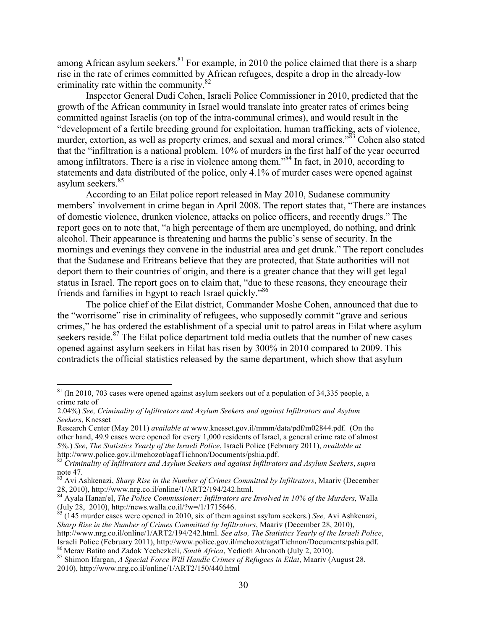among African asylum seekers.<sup>81</sup> For example, in 2010 the police claimed that there is a sharp rise in the rate of crimes committed by African refugees, despite a drop in the already-low criminality rate within the community.<sup>82</sup>

Inspector General Dudi Cohen, Israeli Police Commissioner in 2010, predicted that the growth of the African community in Israel would translate into greater rates of crimes being committed against Israelis (on top of the intra-communal crimes), and would result in the "development of a fertile breeding ground for exploitation, human trafficking, acts of violence, murder, extortion, as well as property crimes, and sexual and moral crimes."<sup>83</sup> Cohen also stated that the "infiltration is a national problem. 10% of murders in the first half of the year occurred among infiltrators. There is a rise in violence among them."<sup>84</sup> In fact, in 2010, according to statements and data distributed of the police, only 4.1% of murder cases were opened against asylum seekers.<sup>85</sup>

According to an Eilat police report released in May 2010, Sudanese community members' involvement in crime began in April 2008. The report states that, "There are instances of domestic violence, drunken violence, attacks on police officers, and recently drugs." The report goes on to note that, "a high percentage of them are unemployed, do nothing, and drink alcohol. Their appearance is threatening and harms the public's sense of security. In the mornings and evenings they convene in the industrial area and get drunk." The report concludes that the Sudanese and Eritreans believe that they are protected, that State authorities will not deport them to their countries of origin, and there is a greater chance that they will get legal status in Israel. The report goes on to claim that, "due to these reasons, they encourage their friends and families in Egypt to reach Israel quickly."<sup>86</sup>

The police chief of the Eilat district, Commander Moshe Cohen, announced that due to the "worrisome" rise in criminality of refugees, who supposedly commit "grave and serious crimes," he has ordered the establishment of a special unit to patrol areas in Eilat where asylum seekers reside.<sup>87</sup> The Eilat police department told media outlets that the number of new cases opened against asylum seekers in Eilat has risen by 300% in 2010 compared to 2009. This contradicts the official statistics released by the same department, which show that asylum

 $\frac{181}{11}$  (In 2010, 703 cases were opened against asylum seekers out of a population of 34,335 people, a crime rate of

<sup>2.04%)</sup> *See, Criminality of Infiltrators and Asylum Seekers and against Infiltrators and Asylum Seekers*, Knesset

Research Center (May 2011) *available at* www.knesset.gov.il/mmm/data/pdf/m02844.pdf. (On the other hand, 49.9 cases were opened for every 1,000 residents of Israel, a general crime rate of almost 5%.) *See*, *The Statistics Yearly of the Israeli Police*, Israeli Police (February 2011), *available at*

<sup>&</sup>lt;sup>82</sup> Criminality of Infiltrators and Asylum Seekers and against Infiltrators and Asylum Seekers, *supra* note 47.

<sup>83</sup> Avi Ashkenazi, *Sharp Rise in the Number of Crimes Committed by Infiltrators*, Maariv (December

<sup>28, 2010),</sup> http://www.nrg.co.il/online/1/ART2/194/242.html. <sup>84</sup> Ayala Hanan'el, *The Police Commissioner: Infiltrators are Involved in 10% of the Murders,* Walla (July 28, 2010), http://news.walla.co.il/?w=/1/1715646. <sup>85</sup> (145 murder cases were opened in 2010, six of them against asylum seekers.) *See,* Avi Ashkenazi,

*Sharp Rise in the Number of Crimes Committed by Infiltrators*, Maariv (December 28, 2010),

http://www.nrg.co.il/online/1/ART2/194/242.html. *See also, The Statistics Yearly of the Israeli Police*, Israeli Police (February 2011), http://www.police.gov.il/mehozot/agafTichnon/Documents/pshia.pdf.<br><sup>86</sup> Merav Batito and Zadok Yechezkeli, *South Africa*, Yedioth Ahronoth (July 2, 2010).<br><sup>87</sup> Shimon Ifargan, *A Special For* 

<sup>2010),</sup> http://www.nrg.co.il/online/1/ART2/150/440.html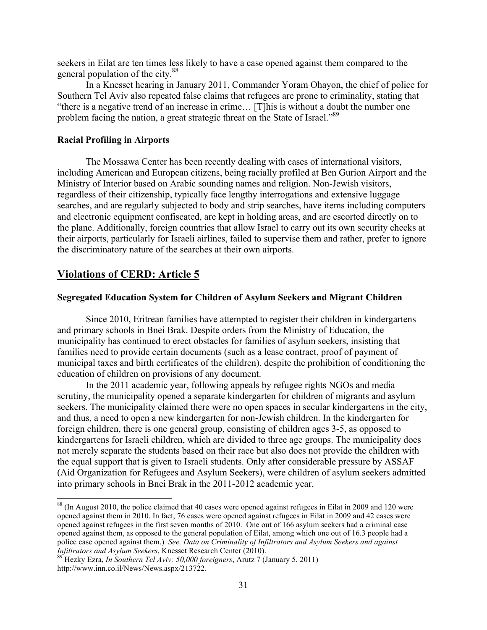seekers in Eilat are ten times less likely to have a case opened against them compared to the general population of the city.<sup>88</sup>

In a Knesset hearing in January 2011, Commander Yoram Ohayon, the chief of police for Southern Tel Aviv also repeated false claims that refugees are prone to criminality, stating that "there is a negative trend of an increase in crime… [T]his is without a doubt the number one problem facing the nation, a great strategic threat on the State of Israel."<sup>89</sup>

### **Racial Profiling in Airports**

The Mossawa Center has been recently dealing with cases of international visitors, including American and European citizens, being racially profiled at Ben Gurion Airport and the Ministry of Interior based on Arabic sounding names and religion. Non-Jewish visitors, regardless of their citizenship, typically face lengthy interrogations and extensive luggage searches, and are regularly subjected to body and strip searches, have items including computers and electronic equipment confiscated, are kept in holding areas, and are escorted directly on to the plane. Additionally, foreign countries that allow Israel to carry out its own security checks at their airports, particularly for Israeli airlines, failed to supervise them and rather, prefer to ignore the discriminatory nature of the searches at their own airports.

## **Violations of CERD: Article 5**

#### **Segregated Education System for Children of Asylum Seekers and Migrant Children**

Since 2010, Eritrean families have attempted to register their children in kindergartens and primary schools in Bnei Brak. Despite orders from the Ministry of Education, the municipality has continued to erect obstacles for families of asylum seekers, insisting that families need to provide certain documents (such as a lease contract, proof of payment of municipal taxes and birth certificates of the children), despite the prohibition of conditioning the education of children on provisions of any document.

In the 2011 academic year, following appeals by refugee rights NGOs and media scrutiny, the municipality opened a separate kindergarten for children of migrants and asylum seekers. The municipality claimed there were no open spaces in secular kindergartens in the city, and thus, a need to open a new kindergarten for non-Jewish children. In the kindergarten for foreign children, there is one general group, consisting of children ages 3-5, as opposed to kindergartens for Israeli children, which are divided to three age groups. The municipality does not merely separate the students based on their race but also does not provide the children with the equal support that is given to Israeli students. Only after considerable pressure by ASSAF (Aid Organization for Refugees and Asylum Seekers), were children of asylum seekers admitted into primary schools in Bnei Brak in the 2011-2012 academic year.

<sup>&</sup>lt;sup>88</sup> (In August 2010, the police claimed that 40 cases were opened against refugees in Eilat in 2009 and 120 were opened against them in 2010. In fact, 76 cases were opened against refugees in Eilat in 2009 and 42 cases were opened against refugees in the first seven months of 2010. One out of 166 asylum seekers had a criminal case opened against them, as opposed to the general population of Eilat, among which one out of 16.3 people had a police case opened against them.) *See, Data on Criminality of Infiltrators and Asylum Seekers and against Infiltrators and Asylum Seekers*, Knesset Research Center (2010). <sup>89</sup> Hezky Ezra, *In Southern Tel Aviv: 50,000 foreigners*, Arutz 7 (January 5, 2011)

http://www.inn.co.il/News/News.aspx/213722.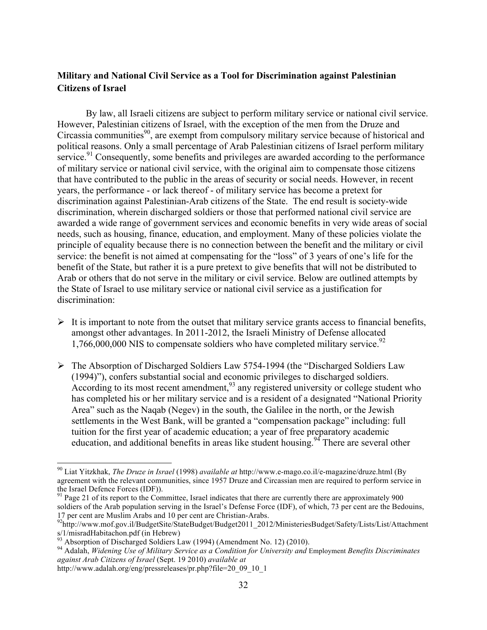## **Military and National Civil Service as a Tool for Discrimination against Palestinian Citizens of Israel**

By law, all Israeli citizens are subject to perform military service or national civil service. However, Palestinian citizens of Israel, with the exception of the men from the Druze and Circassia communities<sup>90</sup>, are exempt from compulsory military service because of historical and political reasons. Only a small percentage of Arab Palestinian citizens of Israel perform military service.<sup>91</sup> Consequently, some benefits and privileges are awarded according to the performance of military service or national civil service, with the original aim to compensate those citizens that have contributed to the public in the areas of security or social needs. However, in recent years, the performance - or lack thereof - of military service has become a pretext for discrimination against Palestinian-Arab citizens of the State. The end result is society-wide discrimination, wherein discharged soldiers or those that performed national civil service are awarded a wide range of government services and economic benefits in very wide areas of social needs, such as housing, finance, education, and employment. Many of these policies violate the principle of equality because there is no connection between the benefit and the military or civil service: the benefit is not aimed at compensating for the "loss" of 3 years of one's life for the benefit of the State, but rather it is a pure pretext to give benefits that will not be distributed to Arab or others that do not serve in the military or civil service. Below are outlined attempts by the State of Israel to use military service or national civil service as a justification for discrimination:

- $\triangleright$  It is important to note from the outset that military service grants access to financial benefits, amongst other advantages. In 2011-2012, the Israeli Ministry of Defense allocated 1,766,000,000 NIS to compensate soldiers who have completed military service.<sup>92</sup>
- ! The Absorption of Discharged Soldiers Law 5754-1994 (the "Discharged Soldiers Law (1994)"), confers substantial social and economic privileges to discharged soldiers. According to its most recent amendment,<sup>93</sup> any registered university or college student who has completed his or her military service and is a resident of a designated "National Priority Area" such as the Naqab (Negev) in the south, the Galilee in the north, or the Jewish settlements in the West Bank, will be granted a "compensation package" including: full tuition for the first year of academic education; a year of free preparatory academic education, and additional benefits in areas like student housing.<sup>94</sup> There are several other

<sup>&</sup>lt;sup>90</sup> Liat Yitzkhak, *The Druze in Israel* (1998) *available at* http://www.e-mago.co.il/e-magazine/druze.html (By agreement with the relevant communities, since 1957 Druze and Circassian men are required to perform service in the Israel Defence Forces (IDF)).

 $91$  Page 21 of its report to the Committee, Israel indicates that there are currently there are approximately 900 soldiers of the Arab population serving in the Israel's Defense Force (IDF), of which, 73 per cent are the Bedouins, 17 per cent are Muslim Arabs and 10 per cent are Christian-Arabs.<br><sup>92</sup>http://www.mof.gov.il/BudgetSite/StateBudget/Budget2011\_2012/MinisteriesBudget/Safety/Lists/List/Attachment

s/1/misradHabitachon.pdf (in Hebrew)<br><sup>93</sup> Absorption of Discharged Soldiers Law (1994) (Amendment No. 12) (2010).<br><sup>94</sup> Adalah, *Widening Use of Military Service as a Condition for University and Employment Benefits Discrim* 

*against Arab Citizens of Israel* (Sept. 19 2010) *available at* 

http://www.adalah.org/eng/pressreleases/pr.php?file=20\_09\_10\_1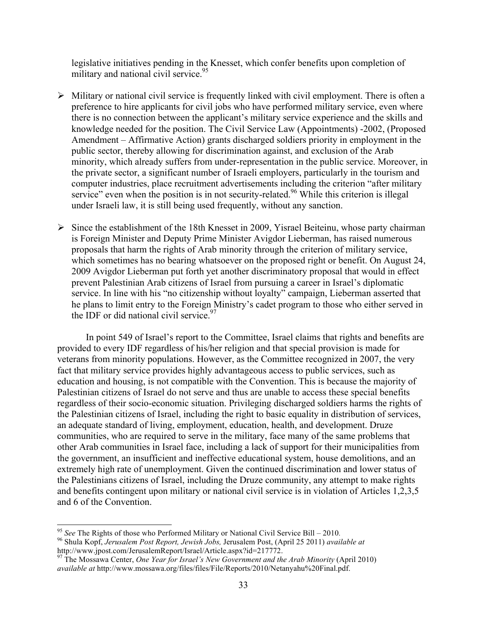legislative initiatives pending in the Knesset, which confer benefits upon completion of military and national civil service. $95$ 

- $\triangleright$  Military or national civil service is frequently linked with civil employment. There is often a preference to hire applicants for civil jobs who have performed military service, even where there is no connection between the applicant's military service experience and the skills and knowledge needed for the position. The Civil Service Law (Appointments) -2002, (Proposed Amendment – Affirmative Action) grants discharged soldiers priority in employment in the public sector, thereby allowing for discrimination against, and exclusion of the Arab minority, which already suffers from under-representation in the public service. Moreover, in the private sector, a significant number of Israeli employers, particularly in the tourism and computer industries, place recruitment advertisements including the criterion "after military service" even when the position is in not security-related.<sup>96</sup> While this criterion is illegal under Israeli law, it is still being used frequently, without any sanction.
- $\triangleright$  Since the establishment of the 18th Knesset in 2009, Yisrael Beiteinu, whose party chairman is Foreign Minister and Deputy Prime Minister Avigdor Lieberman, has raised numerous proposals that harm the rights of Arab minority through the criterion of military service, which sometimes has no bearing whatsoever on the proposed right or benefit. On August 24, 2009 Avigdor Lieberman put forth yet another discriminatory proposal that would in effect prevent Palestinian Arab citizens of Israel from pursuing a career in Israel's diplomatic service. In line with his "no citizenship without loyalty" campaign, Lieberman asserted that he plans to limit entry to the Foreign Ministry's cadet program to those who either served in the IDF or did national civil service. $97$

In point 549 of Israel's report to the Committee, Israel claims that rights and benefits are provided to every IDF regardless of his/her religion and that special provision is made for veterans from minority populations. However, as the Committee recognized in 2007, the very fact that military service provides highly advantageous access to public services, such as education and housing, is not compatible with the Convention. This is because the majority of Palestinian citizens of Israel do not serve and thus are unable to access these special benefits regardless of their socio-economic situation. Privileging discharged soldiers harms the rights of the Palestinian citizens of Israel, including the right to basic equality in distribution of services, an adequate standard of living, employment, education, health, and development. Druze communities, who are required to serve in the military, face many of the same problems that other Arab communities in Israel face, including a lack of support for their municipalities from the government, an insufficient and ineffective educational system, house demolitions, and an extremely high rate of unemployment. Given the continued discrimination and lower status of the Palestinians citizens of Israel, including the Druze community, any attempt to make rights and benefits contingent upon military or national civil service is in violation of Articles 1,2,3,5 and 6 of the Convention.

<sup>&</sup>lt;sup>95</sup> See The Rights of those who Performed Military or National Civil Service Bill – 2010.<br><sup>96</sup> Shula Kopf, *Jerusalem Post Report, Jewish Jobs, Jerusalem Post, (April 25 2011) available at* http://www.jpost.com/JerusalemReport/Israel/Article.aspx?id=217772. <sup>97</sup> The Mossawa Center, *One Year for Israel's New Government and the Arab Minority* (April 2010)

*available at* http://www.mossawa.org/files/files/File/Reports/2010/Netanyahu%20Final.pdf.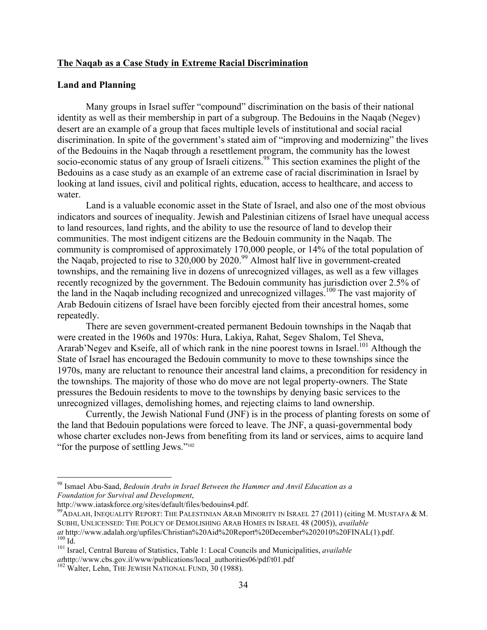#### **The Naqab as a Case Study in Extreme Racial Discrimination**

#### **Land and Planning**

Many groups in Israel suffer "compound" discrimination on the basis of their national identity as well as their membership in part of a subgroup. The Bedouins in the Naqab (Negev) desert are an example of a group that faces multiple levels of institutional and social racial discrimination. In spite of the government's stated aim of "improving and modernizing" the lives of the Bedouins in the Naqab through a resettlement program, the community has the lowest socio-economic status of any group of Israeli citizens.<sup>98</sup> This section examines the plight of the Bedouins as a case study as an example of an extreme case of racial discrimination in Israel by looking at land issues, civil and political rights, education, access to healthcare, and access to water.

Land is a valuable economic asset in the State of Israel, and also one of the most obvious indicators and sources of inequality. Jewish and Palestinian citizens of Israel have unequal access to land resources, land rights, and the ability to use the resource of land to develop their communities. The most indigent citizens are the Bedouin community in the Naqab. The community is compromised of approximately 170,000 people, or 14% of the total population of the Naqab, projected to rise to  $320,000$  by  $2020^{99}$  Almost half live in government-created townships, and the remaining live in dozens of unrecognized villages, as well as a few villages recently recognized by the government. The Bedouin community has jurisdiction over 2.5% of the land in the Naqab including recognized and unrecognized villages.<sup>100</sup> The vast majority of Arab Bedouin citizens of Israel have been forcibly ejected from their ancestral homes, some repeatedly.

There are seven government-created permanent Bedouin townships in the Naqab that were created in the 1960s and 1970s: Hura, Lakiya, Rahat, Segev Shalom, Tel Sheva, Ararab'Negev and Kseife, all of which rank in the nine poorest towns in Israel.<sup>101</sup> Although the State of Israel has encouraged the Bedouin community to move to these townships since the 1970s, many are reluctant to renounce their ancestral land claims, a precondition for residency in the townships. The majority of those who do move are not legal property-owners. The State pressures the Bedouin residents to move to the townships by denying basic services to the unrecognized villages, demolishing homes, and rejecting claims to land ownership.

Currently, the Jewish National Fund (JNF) is in the process of planting forests on some of the land that Bedouin populations were forced to leave. The JNF, a quasi-governmental body whose charter excludes non-Jews from benefiting from its land or services, aims to acquire land "for the purpose of settling Jews."<sup>102</sup>

<sup>98</sup> Ismael Abu-Saad, *Bedouin Arabs in Israel Between the Hammer and Anvil Education as a Foundation for Survival and Development*,

<sup>&</sup>lt;sup>99</sup>ADALAH, INEQUALITY REPORT: THE PALESTINIAN ARAB MINORITY IN ISRAEL 27 (2011) (citing M. MUSTAFA & M. SUBHI, UNLICENSED: THE POLICY OF DEMOLISHING ARAB HOMES IN ISRAEL 48 (2005)), *available at* http://www.adalah.org/upfiles/Christian%20Aid%20Report%20December%202010%20FINAL(1).pdf. <sup>100</sup> Id. 101 Israel, Central Bureau of Statistics, Table 1: Local Councils and Municipalities, *available* 

*at*http://www.cbs.gov.il/www/publications/local\_authorities06/pdf/t01.pdf <sup>102</sup> Walter, Lehn, THE JEWISH NATIONAL FUND, 30 (1988).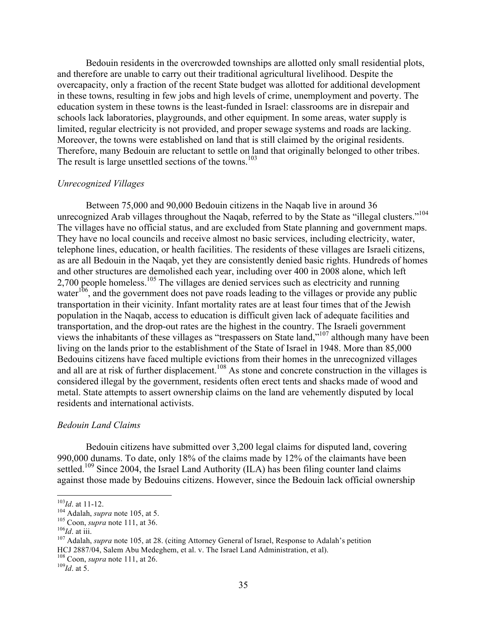Bedouin residents in the overcrowded townships are allotted only small residential plots, and therefore are unable to carry out their traditional agricultural livelihood. Despite the overcapacity, only a fraction of the recent State budget was allotted for additional development in these towns, resulting in few jobs and high levels of crime, unemployment and poverty. The education system in these towns is the least-funded in Israel: classrooms are in disrepair and schools lack laboratories, playgrounds, and other equipment. In some areas, water supply is limited, regular electricity is not provided, and proper sewage systems and roads are lacking. Moreover, the towns were established on land that is still claimed by the original residents. Therefore, many Bedouin are reluctant to settle on land that originally belonged to other tribes. The result is large unsettled sections of the towns.<sup>103</sup>

#### *Unrecognized Villages*

Between 75,000 and 90,000 Bedouin citizens in the Naqab live in around 36 unrecognized Arab villages throughout the Naqab, referred to by the State as "illegal clusters."<sup>104</sup> The villages have no official status, and are excluded from State planning and government maps. They have no local councils and receive almost no basic services, including electricity, water, telephone lines, education, or health facilities. The residents of these villages are Israeli citizens, as are all Bedouin in the Naqab, yet they are consistently denied basic rights. Hundreds of homes and other structures are demolished each year, including over 400 in 2008 alone, which left 2,700 people homeless.<sup>105</sup> The villages are denied services such as electricity and running water<sup>106</sup>, and the government does not pave roads leading to the villages or provide any public transportation in their vicinity. Infant mortality rates are at least four times that of the Jewish population in the Naqab, access to education is difficult given lack of adequate facilities and transportation, and the drop-out rates are the highest in the country. The Israeli government views the inhabitants of these villages as "trespassers on State land,"107 although many have been living on the lands prior to the establishment of the State of Israel in 1948. More than 85,000 Bedouins citizens have faced multiple evictions from their homes in the unrecognized villages and all are at risk of further displacement.<sup>108</sup> As stone and concrete construction in the villages is considered illegal by the government, residents often erect tents and shacks made of wood and metal. State attempts to assert ownership claims on the land are vehemently disputed by local residents and international activists.

#### *Bedouin Land Claims*

Bedouin citizens have submitted over 3,200 legal claims for disputed land, covering 990,000 dunams. To date, only 18% of the claims made by 12% of the claimants have been settled.<sup>109</sup> Since 2004, the Israel Land Authority (ILA) has been filing counter land claims against those made by Bedouins citizens. However, since the Bedouin lack official ownership

<sup>&</sup>lt;sup>103</sup>*Id.* at 11-12.<br><sup>104</sup> Adalah, *supra* note 105, at 5.<br><sup>105</sup> Coon, *supra* note 111, at 36.<br><sup>105</sup> *Id.* at iii.<br><sup>107</sup> Adalah, *supra* note 105, at 28. (citing Attorney General of Israel, Response to Adalah's petition HCJ 2887/04, Salem Abu Medeghem, et al. v. The Israel Land Administration, et al).

<sup>108</sup> Coon, *supra* note 111, at 26. <sup>109</sup>*Id*. at 5.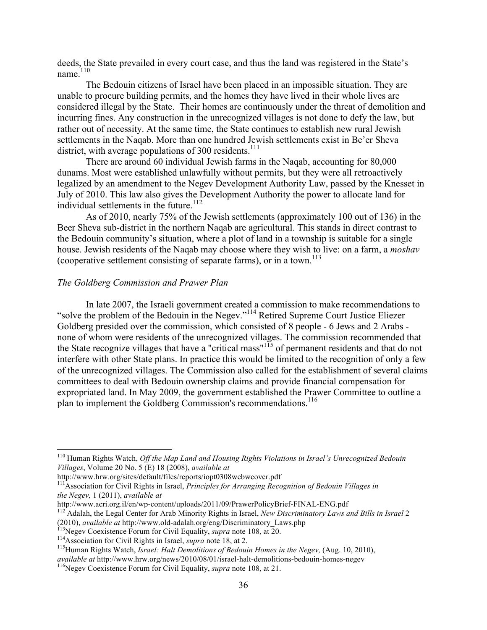deeds, the State prevailed in every court case, and thus the land was registered in the State's name $110$ 

The Bedouin citizens of Israel have been placed in an impossible situation. They are unable to procure building permits, and the homes they have lived in their whole lives are considered illegal by the State. Their homes are continuously under the threat of demolition and incurring fines. Any construction in the unrecognized villages is not done to defy the law, but rather out of necessity. At the same time, the State continues to establish new rural Jewish settlements in the Naqab. More than one hundred Jewish settlements exist in Be'er Sheva district, with average populations of 300 residents.<sup>111</sup>

There are around 60 individual Jewish farms in the Naqab, accounting for 80,000 dunams. Most were established unlawfully without permits, but they were all retroactively legalized by an amendment to the Negev Development Authority Law, passed by the Knesset in July of 2010. This law also gives the Development Authority the power to allocate land for individual settlements in the future.<sup>112</sup>

As of 2010, nearly 75% of the Jewish settlements (approximately 100 out of 136) in the Beer Sheva sub-district in the northern Naqab are agricultural. This stands in direct contrast to the Bedouin community's situation, where a plot of land in a township is suitable for a single house. Jewish residents of the Naqab may choose where they wish to live: on a farm, a *moshav* (cooperative settlement consisting of separate farms), or in a town.<sup>113</sup>

#### *The Goldberg Commission and Prawer Plan*

In late 2007, the Israeli government created a commission to make recommendations to "solve the problem of the Bedouin in the Negev."<sup>114</sup> Retired Supreme Court Justice Eliezer Goldberg presided over the commission, which consisted of 8 people - 6 Jews and 2 Arabs none of whom were residents of the unrecognized villages. The commission recommended that the State recognize villages that have a "critical mass"<sup>115</sup> of permanent residents and that do not interfere with other State plans. In practice this would be limited to the recognition of only a few of the unrecognized villages. The Commission also called for the establishment of several claims committees to deal with Bedouin ownership claims and provide financial compensation for expropriated land. In May 2009, the government established the Prawer Committee to outline a plan to implement the Goldberg Commission's recommendations.<sup>116</sup>

<sup>110</sup> Human Rights Watch, *Off the Map Land and Housing Rights Violations in Israel's Unrecognized Bedouin Villages*, Volume 20 No. 5 (E) 18 (2008), *available at* 

http://www.hrw.org/sites/default/files/reports/iopt0308webwcover.pdf 111Association for Civil Rights in Israel, *Principles for Arranging Recognition of Bedouin Villages in the Negev,* 1 (2011), *available at*

<sup>&</sup>lt;sup>112</sup> Adalah, the Legal Center for Arab Minority Rights in Israel, *New Discriminatory Laws and Bills in Israel* 2 (2010), *available at http://www.old-adalah.org/eng/Discriminatory\_Laws.php*<br><sup>113</sup>Negev Coexistence Forum for Civil Equality, *supra* note 108, at 20.<br><sup>114</sup>Association for Civil Rights in Israel, *supra* note 18, at 2.<br><sup>1</sup>

*available at http://www.hrw.org/news/2010/08/01/israel-halt-demolitions-bedouin-homes-negev*  $^{116}$ Negev Coexistence Forum for Civil Equality, *supra* note 108, at 21.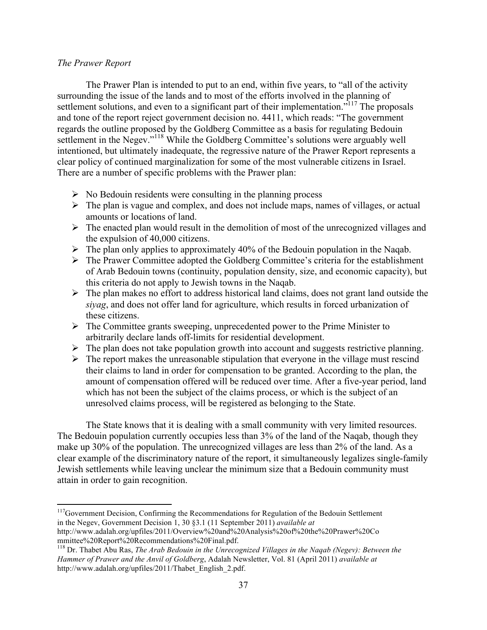#### *The Prawer Report*

!!!!!!!!!!!!!!!!!!!!!!!!!!!!!!!!!!!!!!!!!!!!!!!!!!!!!!!!!!!!

The Prawer Plan is intended to put to an end, within five years, to "all of the activity surrounding the issue of the lands and to most of the efforts involved in the planning of settlement solutions, and even to a significant part of their implementation.<sup> $5117$ </sup> The proposals and tone of the report reject government decision no. 4411, which reads: "The government regards the outline proposed by the Goldberg Committee as a basis for regulating Bedouin settlement in the Negev."<sup>118</sup> While the Goldberg Committee's solutions were arguably well intentioned, but ultimately inadequate, the regressive nature of the Prawer Report represents a clear policy of continued marginalization for some of the most vulnerable citizens in Israel. There are a number of specific problems with the Prawer plan:

- $\triangleright$  No Bedouin residents were consulting in the planning process
- $\triangleright$  The plan is vague and complex, and does not include maps, names of villages, or actual amounts or locations of land.
- $\triangleright$  The enacted plan would result in the demolition of most of the unrecognized villages and the expulsion of 40,000 citizens.
- $\triangleright$  The plan only applies to approximately 40% of the Bedouin population in the Naqab.
- $\triangleright$  The Prawer Committee adopted the Goldberg Committee's criteria for the establishment of Arab Bedouin towns (continuity, population density, size, and economic capacity), but this criteria do not apply to Jewish towns in the Naqab.
- $\triangleright$  The plan makes no effort to address historical land claims, does not grant land outside the *siyag*, and does not offer land for agriculture, which results in forced urbanization of these citizens.
- $\triangleright$  The Committee grants sweeping, unprecedented power to the Prime Minister to arbitrarily declare lands off-limits for residential development.
- $\triangleright$  The plan does not take population growth into account and suggests restrictive planning.
- $\triangleright$  The report makes the unreasonable stipulation that everyone in the village must rescind their claims to land in order for compensation to be granted. According to the plan, the amount of compensation offered will be reduced over time. After a five-year period, land which has not been the subject of the claims process, or which is the subject of an unresolved claims process, will be registered as belonging to the State.

The State knows that it is dealing with a small community with very limited resources. The Bedouin population currently occupies less than 3% of the land of the Naqab, though they make up 30% of the population. The unrecognized villages are less than 2% of the land. As a clear example of the discriminatory nature of the report, it simultaneously legalizes single-family Jewish settlements while leaving unclear the minimum size that a Bedouin community must attain in order to gain recognition.

<sup>&</sup>lt;sup>117</sup>Government Decision, Confirming the Recommendations for Regulation of the Bedouin Settlement in the Negev, Government Decision 1, 30 §3.1 (11 September 2011) *available at*  http://www.adalah.org/upfiles/2011/Overview%20and%20Analysis%20of%20the%20Prawer%20Co

mmittee%20Report%20Recommendations%20Final.pdf.<br><sup>118</sup> Dr. Thabet Abu Ras, *The Arab Bedouin in the Unrecognized Villages in the Naqab (Negev): Between the Hammer of Prawer and the Anvil of Goldberg*, Adalah Newsletter, Vol. 81 (April 2011) *available at* http://www.adalah.org/upfiles/2011/Thabet\_English\_2.pdf.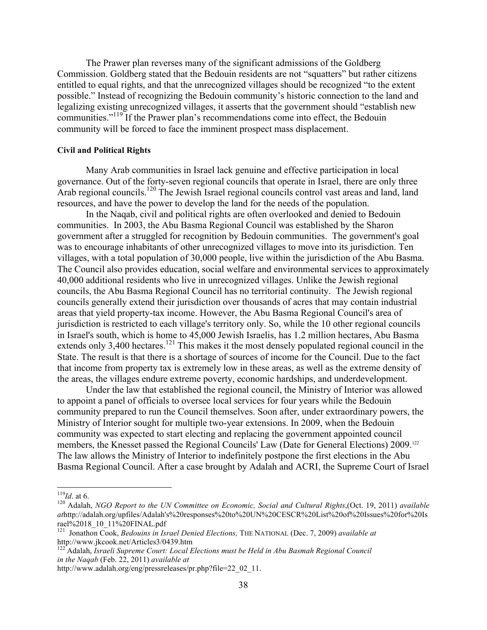The Prawer plan reverses many of the significant admissions of the Goldberg Commission. Goldberg stated that the Bedouin residents are not "squatters" but rather citizens entitled to equal rights, and that the unrecognized villages should be recognized "to the extent possible." Instead of recognizing the Bedouin community's historic connection to the land and legalizing existing unrecognized villages, it asserts that the government should "establish new communities."<sup>119</sup> If the Prawer plan's recommendations come into effect, the Bedouin community will be forced to face the imminent prospect mass displacement.

#### **Civil and Political Rights**

Many Arab communities in Israel lack genuine and effective participation in local governance. Out of the forty-seven regional councils that operate in Israel, there are only three Arab regional councils.<sup>120</sup> The Jewish Israel regional councils control vast areas and land, land resources, and have the power to develop the land for the needs of the population.

In the Naqab, civil and political rights are often overlooked and denied to Bedouin communities. In 2003, the Abu Basma Regional Council was established by the Sharon government after a struggled for recognition by Bedouin communities. The government's goal was to encourage inhabitants of other unrecognized villages to move into its jurisdiction. Ten villages, with a total population of 30,000 people, live within the jurisdiction of the Abu Basma. The Council also provides education, social welfare and environmental services to approximately 40,000 additional residents who live in unrecognized villages. Unlike the Jewish regional councils, the Abu Basma Regional Council has no territorial continuity. The Jewish regional councils generally extend their jurisdiction over thousands of acres that may contain industrial areas that yield property-tax income. However, the Abu Basma Regional Council's area of jurisdiction is restricted to each village's territory only. So, while the 10 other regional councils in Israel's south, which is home to 45,000 Jewish Israelis, has 1.2 million hectares, Abu Basma extends only  $3,400$  hectares.<sup>121</sup> This makes it the most densely populated regional council in the State. The result is that there is a shortage of sources of income for the Council. Due to the fact that income from property tax is extremely low in these areas, as well as the extreme density of the areas, the villages endure extreme poverty, economic hardships, and underdevelopment.

Under the law that established the regional council, the Ministry of Interior was allowed to appoint a panel of officials to oversee local services for four years while the Bedouin community prepared to run the Council themselves. Soon after, under extraordinary powers, the Ministry of Interior sought for multiple two-year extensions. In 2009, when the Bedouin community was expected to start electing and replacing the government appointed council members, the Knesset passed the Regional Councils' Law (Date for General Elections) 2009.<sup>122</sup> The law allows the Ministry of Interior to indefinitely postpone the first elections in the Abu Basma Regional Council. After a case brought by Adalah and ACRI, the Supreme Court of Israel

<sup>119</sup>*Id*. at 6. 120 Adalah, *NGO Report to the UN Committee on Economic, Social and Cultural Rights*,(Oct. 19, 2011) *available at*http://adalah.org/upfiles/Adalah's%20responses%20to%20UN%20CESCR%20List%20of%20Issues%20for%20Is rael%2018\_10\_11%20FINAL.pdf

<sup>121</sup> Jonathon Cook, *Bedouins in Israel Denied Elections,* THE NATIONAL (Dec. 7, 2009) *available at*  http://www.jkcook.net/Articles3/0439.htm 122 Adalah, *Israeli Supreme Court: Local Elections must be Held in Abu Basmah Regional Council*

*in the Naqab* (Feb. 22, 2011) *available at* 

http://www.adalah.org/eng/pressreleases/pr.php?file=22\_02\_11.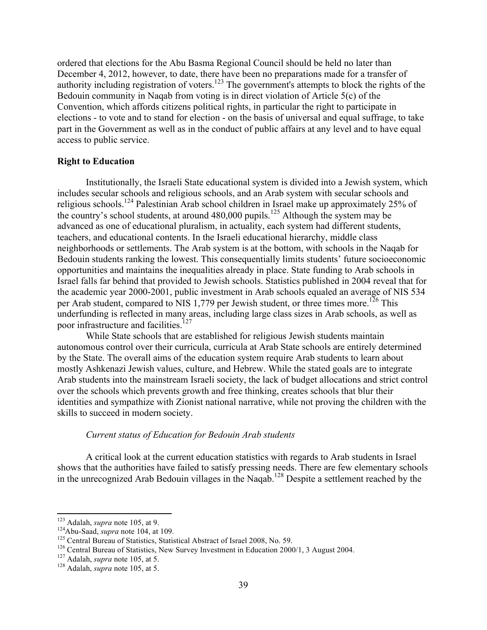ordered that elections for the Abu Basma Regional Council should be held no later than December 4, 2012, however, to date, there have been no preparations made for a transfer of authority including registration of voters.<sup>123</sup> The government's attempts to block the rights of the Bedouin community in Naqab from voting is in direct violation of Article 5(c) of the Convention, which affords citizens political rights, in particular the right to participate in elections - to vote and to stand for election - on the basis of universal and equal suffrage, to take part in the Government as well as in the conduct of public affairs at any level and to have equal access to public service.

#### **Right to Education**

Institutionally, the Israeli State educational system is divided into a Jewish system, which includes secular schools and religious schools, and an Arab system with secular schools and religious schools.<sup>124</sup> Palestinian Arab school children in Israel make up approximately 25% of the country's school students, at around  $480,000$  pupils.<sup>125</sup> Although the system may be advanced as one of educational pluralism, in actuality, each system had different students, teachers, and educational contents. In the Israeli educational hierarchy, middle class neighborhoods or settlements. The Arab system is at the bottom, with schools in the Naqab for Bedouin students ranking the lowest. This consequentially limits students' future socioeconomic opportunities and maintains the inequalities already in place. State funding to Arab schools in Israel falls far behind that provided to Jewish schools. Statistics published in 2004 reveal that for the academic year 2000-2001, public investment in Arab schools equaled an average of NIS 534 per Arab student, compared to NIS 1,779 per Jewish student, or three times more.<sup>126</sup> This underfunding is reflected in many areas, including large class sizes in Arab schools, as well as poor infrastructure and facilities.<sup>127</sup>

While State schools that are established for religious Jewish students maintain autonomous control over their curricula, curricula at Arab State schools are entirely determined by the State. The overall aims of the education system require Arab students to learn about mostly Ashkenazi Jewish values, culture, and Hebrew. While the stated goals are to integrate Arab students into the mainstream Israeli society, the lack of budget allocations and strict control over the schools which prevents growth and free thinking, creates schools that blur their identities and sympathize with Zionist national narrative, while not proving the children with the skills to succeed in modern society.

#### *Current status of Education for Bedouin Arab students*

A critical look at the current education statistics with regards to Arab students in Israel shows that the authorities have failed to satisfy pressing needs. There are few elementary schools in the unrecognized Arab Bedouin villages in the Naqab.128 Despite a settlement reached by the

 $123$  Adalah, *supra* note 105, at 9.

<sup>&</sup>lt;sup>124</sup> Abu-Saad, *supra* note 104, at 109.<br><sup>125</sup> Central Bureau of Statistics, Statistical Abstract of Israel 2008, No. 59.<br><sup>126</sup> Central Bureau of Statistics, New Survey Investment in Education 2000/1, 3 August 2004.<br><sup>127</sup>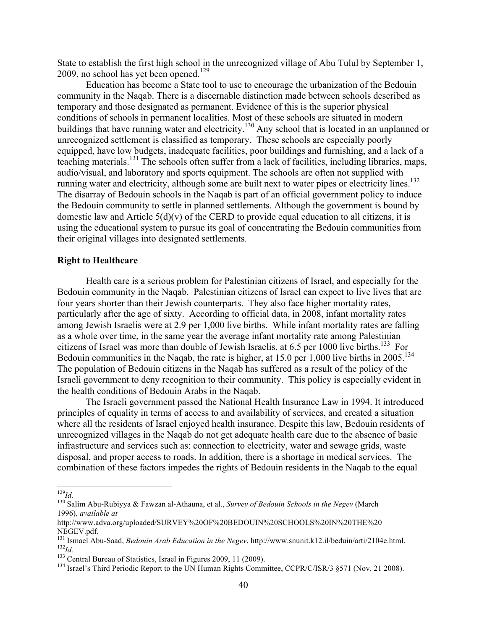State to establish the first high school in the unrecognized village of Abu Tulul by September 1, 2009, no school has yet been opened. $129$ 

Education has become a State tool to use to encourage the urbanization of the Bedouin community in the Naqab. There is a discernable distinction made between schools described as temporary and those designated as permanent. Evidence of this is the superior physical conditions of schools in permanent localities. Most of these schools are situated in modern buildings that have running water and electricity.<sup>130</sup> Any school that is located in an unplanned or unrecognized settlement is classified as temporary. These schools are especially poorly equipped, have low budgets, inadequate facilities, poor buildings and furnishing, and a lack of a teaching materials.<sup>131</sup> The schools often suffer from a lack of facilities, including libraries, maps, audio/visual, and laboratory and sports equipment. The schools are often not supplied with running water and electricity, although some are built next to water pipes or electricity lines.<sup>132</sup> The disarray of Bedouin schools in the Naqab is part of an official government policy to induce the Bedouin community to settle in planned settlements. Although the government is bound by domestic law and Article  $5(d)(v)$  of the CERD to provide equal education to all citizens, it is using the educational system to pursue its goal of concentrating the Bedouin communities from their original villages into designated settlements.

#### **Right to Healthcare**

Health care is a serious problem for Palestinian citizens of Israel, and especially for the Bedouin community in the Naqab. Palestinian citizens of Israel can expect to live lives that are four years shorter than their Jewish counterparts. They also face higher mortality rates, particularly after the age of sixty. According to official data, in 2008, infant mortality rates among Jewish Israelis were at 2.9 per 1,000 live births. While infant mortality rates are falling as a whole over time, in the same year the average infant mortality rate among Palestinian citizens of Israel was more than double of Jewish Israelis, at 6.5 per 1000 live births.<sup>133</sup> For Bedouin communities in the Naqab, the rate is higher, at 15.0 per 1,000 live births in 2005.<sup>134</sup> The population of Bedouin citizens in the Naqab has suffered as a result of the policy of the Israeli government to deny recognition to their community. This policy is especially evident in the health conditions of Bedouin Arabs in the Naqab.

The Israeli government passed the National Health Insurance Law in 1994. It introduced principles of equality in terms of access to and availability of services, and created a situation where all the residents of Israel enjoyed health insurance. Despite this law, Bedouin residents of unrecognized villages in the Naqab do not get adequate health care due to the absence of basic infrastructure and services such as: connection to electricity, water and sewage grids, waste disposal, and proper access to roads. In addition, there is a shortage in medical services. The combination of these factors impedes the rights of Bedouin residents in the Naqab to the equal

<sup>129</sup>*Id.* <sup>130</sup> Salim Abu-Rubiyya & Fawzan al-Athauna, et al., *Survey of Bedouin Schools in the Negev* (March 1996), *available at* 

http://www.adva.org/uploaded/SURVEY%20OF%20BEDOUIN%20SCHOOLS%20IN%20THE%20

NEGEV.pdf.<br><sup>131</sup> Ismael Abu-Saad, *Bedouin Arab Education in the Negev*, http://www.snunit.k12.il/beduin/arti/2104e.html.<br><sup>132</sup>Id.<br><sup>132</sup> Central Bureau of Statistics, Israel in Figures 2009, 11 (2009).<br><sup>134</sup> Israel's Third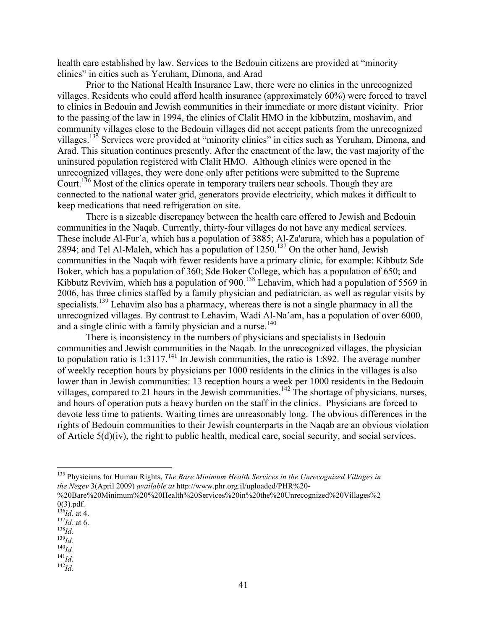health care established by law. Services to the Bedouin citizens are provided at "minority clinics" in cities such as Yeruham, Dimona, and Arad

Prior to the National Health Insurance Law, there were no clinics in the unrecognized villages. Residents who could afford health insurance (approximately 60%) were forced to travel to clinics in Bedouin and Jewish communities in their immediate or more distant vicinity. Prior to the passing of the law in 1994, the clinics of Clalit HMO in the kibbutzim, moshavim, and community villages close to the Bedouin villages did not accept patients from the unrecognized villages.<sup>135</sup> Services were provided at "minority clinics" in cities such as Yeruham, Dimona, and Arad. This situation continues presently. After the enactment of the law, the vast majority of the uninsured population registered with Clalit HMO. Although clinics were opened in the unrecognized villages, they were done only after petitions were submitted to the Supreme Court.<sup>136</sup> Most of the clinics operate in temporary trailers near schools. Though they are connected to the national water grid, generators provide electricity, which makes it difficult to keep medications that need refrigeration on site.

There is a sizeable discrepancy between the health care offered to Jewish and Bedouin communities in the Naqab. Currently, thirty-four villages do not have any medical services. These include Al-Fur'a, which has a population of 3885; Al-Za'arura, which has a population of 2894; and Tel Al-Maleh, which has a population of  $1250$ .<sup>137</sup> On the other hand, Jewish communities in the Naqab with fewer residents have a primary clinic, for example: Kibbutz Sde Boker, which has a population of 360; Sde Boker College, which has a population of 650; and Kibbutz Revivim, which has a population of 900.<sup>138</sup> Lehavim, which had a population of 5569 in 2006, has three clinics staffed by a family physician and pediatrician, as well as regular visits by specialists.<sup>139</sup> Lehavim also has a pharmacy, whereas there is not a single pharmacy in all the unrecognized villages. By contrast to Lehavim, Wadi Al-Na'am, has a population of over 6000, and a single clinic with a family physician and a nurse.<sup>140</sup>

There is inconsistency in the numbers of physicians and specialists in Bedouin communities and Jewish communities in the Naqab. In the unrecognized villages, the physician to population ratio is  $1:3117<sup>141</sup>$  In Jewish communities, the ratio is 1:892. The average number of weekly reception hours by physicians per 1000 residents in the clinics in the villages is also lower than in Jewish communities: 13 reception hours a week per 1000 residents in the Bedouin villages, compared to 21 hours in the Jewish communities.<sup>142</sup> The shortage of physicians, nurses, and hours of operation puts a heavy burden on the staff in the clinics. Physicians are forced to devote less time to patients. Waiting times are unreasonably long. The obvious differences in the rights of Bedouin communities to their Jewish counterparts in the Naqab are an obvious violation of Article  $5(d)(iv)$ , the right to public health, medical care, social security, and social services.

<sup>135</sup> Physicians for Human Rights, *The Bare Minimum Health Services in the Unrecognized Villages in the Negev* 3(April 2009) *available at* http://www.phr.org.il/uploaded/PHR%20-

<sup>%20</sup>Bare%20Minimum%20%20Health%20Services%20in%20the%20Unrecognized%20Villages%2 0(3).pdf. 136*Id.* at 4. 137*Id.* at 6. 138*Id.* 139*Id.* 140*Id.* 141*Id.* 142*Id.*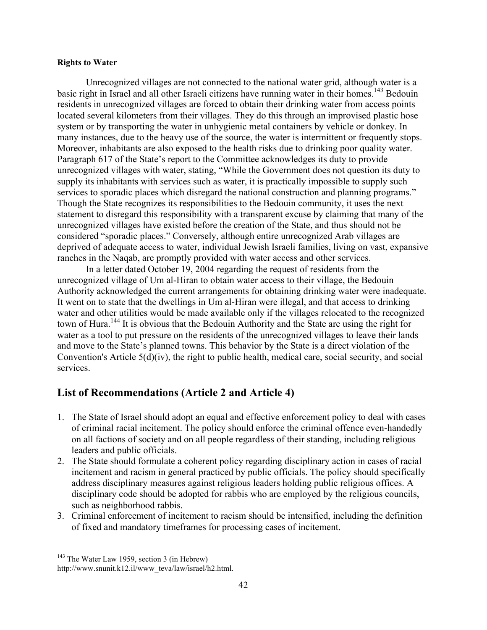#### **Rights to Water**

Unrecognized villages are not connected to the national water grid, although water is a basic right in Israel and all other Israeli citizens have running water in their homes.<sup>143</sup> Bedouin residents in unrecognized villages are forced to obtain their drinking water from access points located several kilometers from their villages. They do this through an improvised plastic hose system or by transporting the water in unhygienic metal containers by vehicle or donkey. In many instances, due to the heavy use of the source, the water is intermittent or frequently stops. Moreover, inhabitants are also exposed to the health risks due to drinking poor quality water. Paragraph 617 of the State's report to the Committee acknowledges its duty to provide unrecognized villages with water, stating, "While the Government does not question its duty to supply its inhabitants with services such as water, it is practically impossible to supply such services to sporadic places which disregard the national construction and planning programs." Though the State recognizes its responsibilities to the Bedouin community, it uses the next statement to disregard this responsibility with a transparent excuse by claiming that many of the unrecognized villages have existed before the creation of the State, and thus should not be considered "sporadic places." Conversely, although entire unrecognized Arab villages are deprived of adequate access to water, individual Jewish Israeli families, living on vast, expansive ranches in the Naqab, are promptly provided with water access and other services.

In a letter dated October 19, 2004 regarding the request of residents from the unrecognized village of Um al-Hiran to obtain water access to their village, the Bedouin Authority acknowledged the current arrangements for obtaining drinking water were inadequate. It went on to state that the dwellings in Um al-Hiran were illegal, and that access to drinking water and other utilities would be made available only if the villages relocated to the recognized town of Hura.144 It is obvious that the Bedouin Authority and the State are using the right for water as a tool to put pressure on the residents of the unrecognized villages to leave their lands and move to the State's planned towns. This behavior by the State is a direct violation of the Convention's Article 5(d)(iv), the right to public health, medical care, social security, and social services.

## **List of Recommendations (Article 2 and Article 4)**

- 1. The State of Israel should adopt an equal and effective enforcement policy to deal with cases of criminal racial incitement. The policy should enforce the criminal offence even-handedly on all factions of society and on all people regardless of their standing, including religious leaders and public officials.
- 2. The State should formulate a coherent policy regarding disciplinary action in cases of racial incitement and racism in general practiced by public officials. The policy should specifically address disciplinary measures against religious leaders holding public religious offices. A disciplinary code should be adopted for rabbis who are employed by the religious councils, such as neighborhood rabbis.
- 3. Criminal enforcement of incitement to racism should be intensified, including the definition of fixed and mandatory timeframes for processing cases of incitement.

<sup>&</sup>lt;sup>143</sup> The Water Law 1959, section 3 (in Hebrew)

http://www.snunit.k12.il/www\_teva/law/israel/h2.html.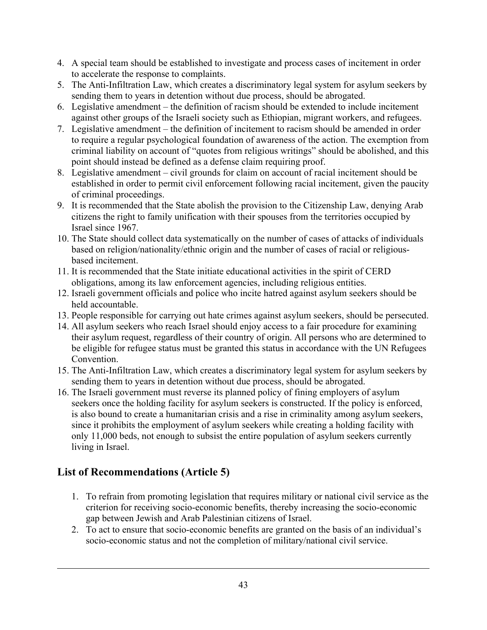- 4. A special team should be established to investigate and process cases of incitement in order to accelerate the response to complaints.
- 5. The Anti-Infiltration Law, which creates a discriminatory legal system for asylum seekers by sending them to years in detention without due process, should be abrogated.
- 6. Legislative amendment the definition of racism should be extended to include incitement against other groups of the Israeli society such as Ethiopian, migrant workers, and refugees.
- 7. Legislative amendment the definition of incitement to racism should be amended in order to require a regular psychological foundation of awareness of the action. The exemption from criminal liability on account of "quotes from religious writings" should be abolished, and this point should instead be defined as a defense claim requiring proof.
- 8. Legislative amendment civil grounds for claim on account of racial incitement should be established in order to permit civil enforcement following racial incitement, given the paucity of criminal proceedings.
- 9. It is recommended that the State abolish the provision to the Citizenship Law, denying Arab citizens the right to family unification with their spouses from the territories occupied by Israel since 1967.
- 10. The State should collect data systematically on the number of cases of attacks of individuals based on religion/nationality/ethnic origin and the number of cases of racial or religiousbased incitement.
- 11. It is recommended that the State initiate educational activities in the spirit of CERD obligations, among its law enforcement agencies, including religious entities.
- 12. Israeli government officials and police who incite hatred against asylum seekers should be held accountable.
- 13. People responsible for carrying out hate crimes against asylum seekers, should be persecuted.
- 14. All asylum seekers who reach Israel should enjoy access to a fair procedure for examining their asylum request, regardless of their country of origin. All persons who are determined to be eligible for refugee status must be granted this status in accordance with the UN Refugees Convention.
- 15. The Anti-Infiltration Law, which creates a discriminatory legal system for asylum seekers by sending them to years in detention without due process, should be abrogated.
- 16. The Israeli government must reverse its planned policy of fining employers of asylum seekers once the holding facility for asylum seekers is constructed. If the policy is enforced, is also bound to create a humanitarian crisis and a rise in criminality among asylum seekers, since it prohibits the employment of asylum seekers while creating a holding facility with only 11,000 beds, not enough to subsist the entire population of asylum seekers currently living in Israel.

## **List of Recommendations (Article 5)**

- 1. To refrain from promoting legislation that requires military or national civil service as the criterion for receiving socio-economic benefits, thereby increasing the socio-economic gap between Jewish and Arab Palestinian citizens of Israel.
- 2. To act to ensure that socio-economic benefits are granted on the basis of an individual's socio-economic status and not the completion of military/national civil service.

!!!!!!!!!!!!!!!!!!!!!!!!!!!!!!!!!!!!!!!!!!!!!!!!!!!!!!!!!!!!!!!!!!!!!!!!!!!!!!!!!!!!!!!!!!!!!!!!!!!!!!!!!!!!!!!!!!!!!!!!!!!!!!!!!!!!!!!!!!!!!!!!!!!!!!!!!!!!!!!!!!!!!!!!!!!!!!!!!!!!!!!!!!!!!!!!!!!